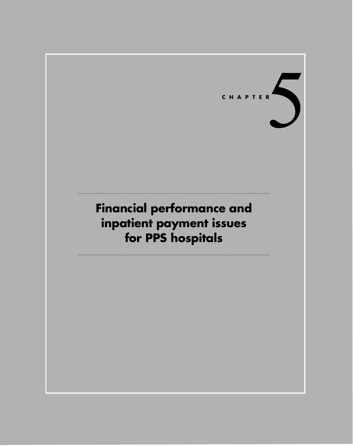

# **Financial performance and inpatient payment issues for PPS hospitals**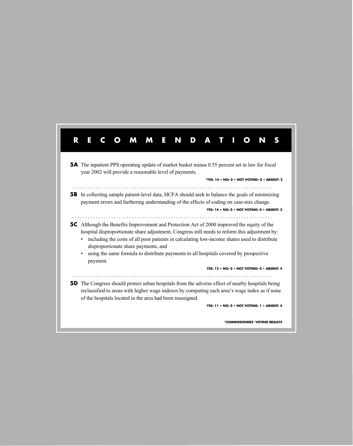| <b>5A</b> The inpatient PPS operating update of market basket minus 0.55 percent set in law for fiscal<br>year 2002 will provide a reasonable level of payments.<br>*YES: 14 . NO: 0 . NOT VOTING: 0 . ABSENT: 2<br><b>5B</b> In collecting sample patient-level data, HCFA should seek to balance the goals of minimizing<br>payment errors and furthering understanding of the effects of coding on case-mix change.<br>YES: 14 • NO: 0 • NOT VOTING: 0 • ABSENT: 2<br><b>5C</b> Although the Benefits Improvement and Protection Act of 2000 improved the equity of the<br>hospital disproportionate share adjustment, Congress still needs to reform this adjustment by:<br>including the costs of all poor patients in calculating low-income shares used to distribute<br>disproportionate share payments, and<br>using the same formula to distribute payments to all hospitals covered by prospective<br>payment.<br>YES: 12 . NO: 0 . NOT VOTING: 0 . ABSENT: 4<br><b>5D</b> The Congress should protect urban hospitals from the adverse effect of nearby hospitals being<br>reclassified to areas with higher wage indexes by computing each area's wage index as if none<br>of the hospitals located in the area had been reassigned.<br>YES: 11 • NO: 0 • NOT VOTING: 1 • ABSENT: 4 | R | E |  | M | <b>M</b> | E N | D |  |  |  |
|--------------------------------------------------------------------------------------------------------------------------------------------------------------------------------------------------------------------------------------------------------------------------------------------------------------------------------------------------------------------------------------------------------------------------------------------------------------------------------------------------------------------------------------------------------------------------------------------------------------------------------------------------------------------------------------------------------------------------------------------------------------------------------------------------------------------------------------------------------------------------------------------------------------------------------------------------------------------------------------------------------------------------------------------------------------------------------------------------------------------------------------------------------------------------------------------------------------------------------------------------------------------------------------------------|---|---|--|---|----------|-----|---|--|--|--|
|                                                                                                                                                                                                                                                                                                                                                                                                                                                                                                                                                                                                                                                                                                                                                                                                                                                                                                                                                                                                                                                                                                                                                                                                                                                                                                  |   |   |  |   |          |     |   |  |  |  |
|                                                                                                                                                                                                                                                                                                                                                                                                                                                                                                                                                                                                                                                                                                                                                                                                                                                                                                                                                                                                                                                                                                                                                                                                                                                                                                  |   |   |  |   |          |     |   |  |  |  |
|                                                                                                                                                                                                                                                                                                                                                                                                                                                                                                                                                                                                                                                                                                                                                                                                                                                                                                                                                                                                                                                                                                                                                                                                                                                                                                  |   |   |  |   |          |     |   |  |  |  |
|                                                                                                                                                                                                                                                                                                                                                                                                                                                                                                                                                                                                                                                                                                                                                                                                                                                                                                                                                                                                                                                                                                                                                                                                                                                                                                  |   |   |  |   |          |     |   |  |  |  |
|                                                                                                                                                                                                                                                                                                                                                                                                                                                                                                                                                                                                                                                                                                                                                                                                                                                                                                                                                                                                                                                                                                                                                                                                                                                                                                  |   |   |  |   |          |     |   |  |  |  |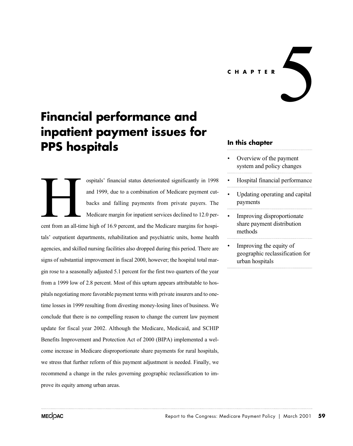**CHAPTER**

 $\blacktriangle$ 

# **Financial performance and inpatient payment issues for PPS hospitals**

ospitals' financial status deteriorated significantly in 1998 and 1999, due to a combination of Medicare payment cutbacks and falling payments from private payers. The Medicare margin for inpatient services declined to 12.0 percent from an all-time high of 16.9 percent, and the Medicare margins for hospitals' outpatient departments, rehabilitation and psychiatric units, home health agencies, and skilled nursing facilities also dropped during this period. There are signs of substantial improvement in fiscal 2000, however; the hospital total margin rose to a seasonally adjusted 5.1 percent for the first two quarters of the year from a 1999 low of 2.8 percent. Most of this upturn appears attributable to hospitals negotiating more favorable payment terms with private insurers and to onetime losses in 1999 resulting from divesting money-losing lines of business. We conclude that there is no compelling reason to change the current law payment update for fiscal year 2002. Although the Medicare, Medicaid, and SCHIP Benefits Improvement and Protection Act of 2000 (BIPA) implemented a welcome increase in Medicare disproportionate share payments for rural hospitals, we stress that further reform of this payment adjustment is needed. Finally, we recommend a change in the rules governing geographic reclassification to improve its equity among urban areas. Example 1

# **In this chapter**

- Overview of the payment system and policy changes
- Hospital financial performance
- Updating operating and capital payments
- Improving disproportionate share payment distribution methods
- Improving the equity of geographic reclassification for urban hospitals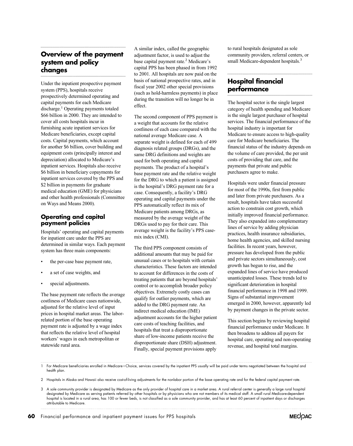# **Overview of the payment system and policy changes**

Under the inpatient prospective payment system (PPS), hospitals receive prospectively determined operating and capital payments for each Medicare discharge.<sup>1</sup> Operating payments totaled \$66 billion in 2000. They are intended to cover all costs hospitals incur in furnishing acute inpatient services for Medicare beneficiaries, except capital costs. Capital payments, which account for another \$6 billion, cover building and equipment costs (principally interest and depreciation) allocated to Medicare's inpatient services. Hospitals also receive \$6 billion in beneficiary copayments for inpatient services covered by the PPS and \$2 billion in payments for graduate medical education (GME) for physicians and other health professionals (Committee on Ways and Means 2000).

# **Operating and capital payment policies**

Hospitals' operating and capital payments for inpatient care under the PPS are determined in similar ways. Each payment system has three main components:

- the per-case base payment rate,
- a set of case weights, and
- special adjustments.

The base payment rate reflects the average costliness of Medicare cases nationwide, adjusted for the relative level of input prices in hospital market areas. The laborrelated portion of the base operating payment rate is adjusted by a wage index that reflects the relative level of hospital workers' wages in each metropolitan or statewide rural area.

A similar index, called the geographic adjustment factor, is used to adjust the base capital payment rate.<sup>2</sup> Medicare's capital PPS has been phased in from 1992 to 2001. All hospitals are now paid on the basis of national prospective rates, and in fiscal year 2002 other special provisions (such as hold-harmless payments) in place during the transition will no longer be in effect.

The second component of PPS payment is a weight that accounts for the relative costliness of each case compared with the national average Medicare case. A separate weight is defined for each of 499 diagnosis related groups (DRGs), and the same DRG definitions and weights are used for both operating and capital payments. The product of a hospital's base payment rate and the relative weight for the DRG to which a patient is assigned is the hospital's DRG payment rate for a case. Consequently, a facility's DRG operating and capital payments under the PPS automatically reflect its mix of Medicare patients among DRGs, as measured by the average weight of the DRGs used to pay for their care. This average weight is the facility's PPS casemix index (CMI).

The third PPS component consists of additional amounts that may be paid for unusual cases or to hospitals with certain characteristics. These factors are intended to account for differences in the costs of treating patients that are beyond hospitals' control or to accomplish broader policy objectives. Extremely costly cases can qualify for outlier payments, which are added to the DRG payment rate. An indirect medical education (IME) adjustment accounts for the higher patient care costs of teaching facilities, and hospitals that treat a disproportionate share of low-income patients receive the disproportionate share (DSH) adjustment. Finally, special payment provisions apply

to rural hospitals designated as sole community providers, referral centers, or small Medicare-dependent hospitals.<sup>3</sup>

# **Hospital financial performance**

The hospital sector is the single largest category of health spending and Medicare is the single largest purchaser of hospital services. The financial performance of the hospital industry is important for Medicare to ensure access to high-quality care for Medicare beneficiaries. The financial status of the industry depends on the volume of care provided, the per unit costs of providing that care, and the payments that private and public purchasers agree to make.

Hospitals were under financial pressure for most of the 1990s, first from public and later from private purchasers. As a result, hospitals have taken successful action to constrain cost growth, which initially improved financial performance. They also expanded into complementary lines of service by adding physician practices, health insurance subsidiaries, home health agencies, and skilled nursing facilities. In recent years, however, pressure has developed from the public and private sectors simultaneously, cost growth has begun to rise, and the expanded lines of service have produced unanticipated losses. These trends led to significant deterioration in hospital financial performance in 1998 and 1999. Signs of substantial improvement emerged in 2000, however, apparently led by payment changes in the private sector.

This section begins by reviewing hospital financial performance under Medicare. It then broadens to address all payers for hospital care, operating and non-operating revenue, and hospital total margins.

1 For Medicare beneficiaries enrolled in Medicare+Choice, services covered by the inpatient PPS usually will be paid under terms negotiated between the hospital and health plan.

2 Hospitals in Alaska and Hawaii also receive cost-of-living adjustments for the nonlabor portion of the base operating rate and for the federal capital payment rate.



<sup>3</sup> A sole community provider is designated by Medicare as the only provider of hospital care in a market area. A rural referral center is generally a large rural hospital designated by Medicare as serving patients referred by other hospitals or by physicians who are not members of its medical staff. A small rural Medicare-dependent hospital is located in a rural area, has 100 or fewer beds, is not classified as a sole community provider, and has at least 60 percent of inpatient days or discharges attributable to Medicare.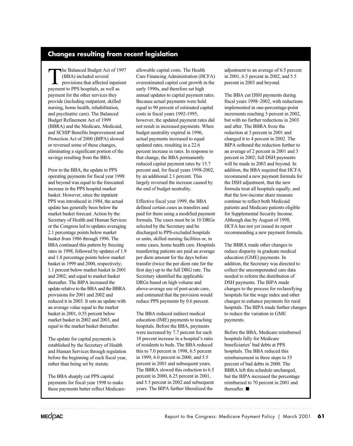# **Changes resulting from recent legislation**

The Balanced Budget Act of 1997 (BBA) included several provisions that affected inpatient payment to PPS hospitals, as well as payment for the other services they provide (including outpatient, skilled nursing, home health, rehabilitation, and psychiatric care). The Balanced Budget Refinement Act of 1999 (BBRA) and the Medicare, Medicaid, and SCHIP Benefits Improvement and Protection Act of 2000 (BIPA) slowed or reversed some of these changes, eliminating a significant portion of the savings resulting from the BBA.

Prior to the BBA, the update to PPS operating payments for fiscal year 1998 and beyond was equal to the forecasted increase in the PPS hospital market basket. However, since the inpatient PPS was introduced in 1984, the actual update has generally been below the market basket forecast. Action by the Secretary of Health and Human Services or the Congress led to updates averaging 2.1 percentage points below market basket from 1986 through 1996. The BBA continued this pattern by freezing rates in 1998, followed by updates of 1.9 and 1.8 percentage points below market basket in 1999 and 2000, respectively; 1.1 percent below market basket in 2001 and 2002; and equal to market basket thereafter. The BIPA increased the provisions for 2001 and 2002 and reduced it in 2003. It sets an update with an average value equal to the market basket in 2001, 0.55 percent below market basket in 2002 and 2003, and equal to the market basket thereafter. update relative to the BBA and the BBRA

The update for capital payments is established by the Secretary of Health and Human Services through regulation before the beginning of each fiscal year, rather than being set by statute.

The BBA sharply cut PPS capital payments for fiscal year 1998 to make these payments better reflect Medicareallowable capital costs. The Health Care Financing Administration (HCFA) overestimated capital cost growth in the early 1990s, and therefore set high annual updates to capital payment rates. Because actual payments were held equal to 90 percent of estimated capital costs in fiscal years 1992-1995, however, the updated payment rates did not result in increased payments. When budget neutrality expired in 1996, actual payments increased to equal updated rates, resulting in a 22.6 percent increase in rates. In response to that change, the BBA permanently reduced capital payment rates by 15.7 percent and, for fiscal years 1998-2002, by an additional 2.1 percent. This largely reversed the increase caused by the end of budget neutrality.

Effective fiscal year 1999, the BBA defined certain cases as transfers and paid for them using a modified payment formula. The cases must be in 10 DRGs selected by the Secretary and be discharged to PPS-excluded hospitals or units, skilled nursing facilities or, in some cases, home health care. Hospitals transferring patients are paid an average per diem amount for the days before transfer (twice the per diem rate for the first day) up to the full DRG rate. The Secretary identified the applicable DRGs based on high volume and above-average use of post-acute care, and estimated that the provision would reduce PPS payments by 0.6 percent.

The BBA reduced indirect medical education (IME) payments to teaching hospitals. Before the BBA, payments were increased by 7.7 percent for each 10 percent increase in a hospital's ratio of residents to beds. The BBA reduced this to 7.0 percent in 1998, 6.5 percent in 1999, 6.0 percent in 2000, and 5.5 percent in 2001 and subsequent years. The BBRA slowed this reduction to 6.5 percent in 2000, 6.25 percent in 2001, and 5.5 percent in 2002 and subsequent years. The BIPA further liberalized the

adjustment to an average of 6.5 percent in 2001, 6.5 percent in 2002, and 5.5 percent in 2003 and beyond.

The BBA cut DSH payments during fiscal years 1998–2002, with reductions implemented in one-percentage-point increments reaching 5 percent in 2002, but with no further reductions in 2003 and after. The BBRA froze the reduction at 3 percent in 2001 and changed it to 4 percent in 2002. The BIPA softened the reduction further to an average of 2 percent in 2001 and 3 percent in 2002; full DSH payments will be made in 2003 and beyond. In addition, the BBA required that HCFA recommend a new payment formula for the DSH adjustment, that the new formula treat all hospitals equally, and that the low-income share measure continue to reflect both Medicaid patients and Medicare patients eligible for Supplemental Security Income. Although due by August of 1998, HCFA has not yet issued its report recommending a new payment formula.

The BBRA made other changes to reduce disparity in graduate medical education (GME) payments. In addition, the Secretary was directed to collect the uncompensated care data needed to reform the distribution of DSH payments. The BIPA made changes to the process for reclassifying hospitals for the wage index and other changes to enhance payments for rural to reduce the variation in GME payments. hospitals. The BIPA made further changes

Before the BBA, Medicare reimbursed hospitals fully for Medicare beneficiaries' bad debts at PPS hospitals. The BBA reduced this reimbursement in three steps to 55 percent of bad debts in 2000. The BBRA left this schedule unchanged, but the BIPA increased the percentage reimbursed to 70 percent in 2001 and thereafter.  $\blacksquare$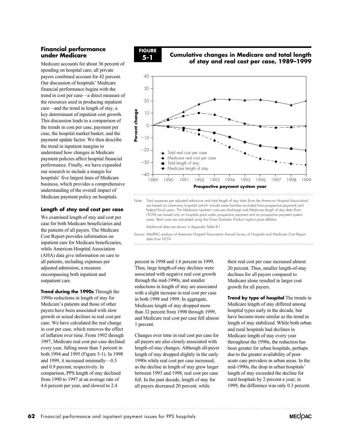# **Financial performance under Medicare**

Medicare accounts for about 36 percent of spending on hospital care; all private payers combined account for 42 percent. Our discussion of hospitals' Medicare financial performance begins with the trend in cost per case—a direct measure of the resources used in producing inpatient care—and the trend in length of stay, a key determinant of inpatient cost growth. This discussion leads to a comparison of the trends in cost per case, payment per case, the hospital market basket, and the payment update factor. We then describe the trend in inpatient margins to understand how changes in Medicare payment policies affect hospital financial performance. Finally, we have expanded our research to include a margin for hospitals' five largest lines of Medicare business, which provides a comprehensive understanding of the overall impact of Medicare payment policy on hospitals.

# **Length of stay and cost per case**

We examined length of stay and cost per case for both Medicare beneficiaries and the patients of all payers. The Medicare Cost Report provides information on inpatient care for Medicare beneficiaries, while American Hospital Association (AHA) data give information on care to all patients, including expenses per adjusted admission, a measure encompassing both inpatient and outpatient care.

**Trend during the 1990s** Through the 1990s reductions in length of stay for Medicare's patients and those of other payers have been associated with slow growth or actual declines in real cost per case. We have calculated the real change in cost per case, which removes the effect of inflation over time. From 1992 through 1997, Medicare real cost per case declined every year, falling more than 3 percent in both 1994 and 1995 (Figure 5-1). In 1998 and 1999, it increased minimally—0.3 and 0.9 percent, respectively. In comparison, PPS length of stay declined from 1990 to 1997 at an average rate of 4.6 percent per year, and slowed to 2.4



# **5-1 Cumulative changes in Medicare and total length of stay and real cost per case, 1989–1999**



 HCFA) are based only on hospitals paid under prospective payment and on prospective payment system years. Real costs are calculated using the Gross Domestic Product implicit price deflator. Additional data are shown in Appendix Table B-1.

Source: MedPAC analysis of American Hospital Association Annual Survey of Hospitals and Medicare Cost Report data from HCFA.

percent in 1998 and 1.6 percent in 1999. Thus, large length-of-stay declines were associated with negative real cost growth through the mid-1990s, and smaller reductions in length of stay are associated with a slight increase in real cost per case in both 1998 and 1999. In aggregate, Medicare length of stay dropped more than 32 percent from 1990 through 1999, and Medicare real cost per case fell almost 1 percent.

Changes over time in real cost per case for all payers are also closely associated with 1990s while real cost per case increased, as the decline in length of stay grew larger between 1993 and 1998, real cost per case fell. In the past decade, length of stay for all payers decreased 20 percent, while length-of-stay changes. Although all-payer length of stay dropped slightly in the early

their real cost per case increased almost declines for all payers compared to Medicare alone resulted in larger cost growth for all payers. 20 percent. Thus, smaller length-of-stay

**Trend by type of hospital** The trends in Medicare length of stay differed among hospital types early in the decade, but have become more similar as the trend in length of stay stabilized. While both urban and rural hospitals had declines in Medicare length of stay every year throughout the 1990s, the reduction has been greater for urban hospitals, perhaps due to the greater availability of postacute care providers in urban areas. In the mid-1990s, the drop in urban hospitals' length of stay exceeded the decline for rural hospitals by 2 percent a year; in 1999, the difference was only 0.3 percent.

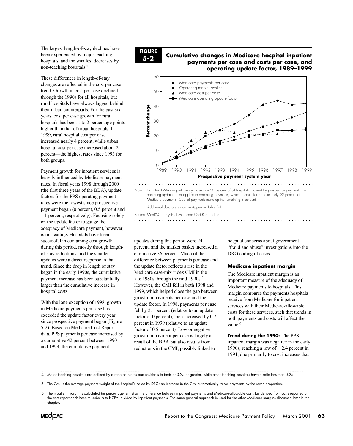The largest length-of-stay declines have been experienced by major teaching hospitals, and the smallest decreases by non-teaching hospitals.4

These differences in length-of-stay changes are reflected in the cost per case trend. Growth in cost per case declined through the 1990s for all hospitals, but rural hospitals have always lagged behind their urban counterparts. For the past six years, cost per case growth for rural hospitals has been 1 to 2 percentage points higher than that of urban hospitals. In 1999, rural hospital cost per case increased nearly 4 percent, while urban hospital cost per case increased about 2 percent—the highest rates since 1993 for both groups.

Payment growth for inpatient services is heavily influenced by Medicare payment rates. In fiscal years 1998 through 2000 (the first three years of the BBA), update factors for the PPS operating payment rates were the lowest since prospective payment began (0 percent, 0.5 percent and 1.1 percent, respectively). Focusing solely on the update factor to gauge the adequacy of Medicare payment, however, is misleading. Hospitals have been successful in containing cost growth during this period, mostly through lengthof-stay reductions, and the smaller updates were a direct response to that trend. Since the drop in length of stay began in the early 1990s, the cumulative payment increase has been substantially larger than the cumulative increase in hospital costs.

With the lone exception of 1998, growth in Medicare payments per case has exceeded the update factor every year since prospective payment began (Figure 5-2). Based on Medicare Cost Report data, PPS payments per case increased by a cumulative 42 percent between 1990 and 1999; the cumulative payment

# **FIGURE**

## **5-2 Cumulative changes in Medicare hospital inpatient payments per case and costs per case, and operating update factor, 1989–1999**



Note: Data for 1999 are preliminary, based on 50 percent of all hospitals covered by prospective payment. The operating update factor applies to operating payments, which account for appoximately 92 percent of Medicare payments. Capital payments make up the remaining 8 percent.

Additional data are shown in Appendix Table B-1.

Source: MedPAC analysis of Medicare Cost Report data.

updates during this period were 24 percent, and the market basket increased a cumulative 36 percent. Much of the difference between payments per case and the update factor reflects a rise in the late 1980s through the mid-1990s. $5$ However, the CMI fell in both 1998 and 1999, which helped close the gap between growth in payments per case and the update factor. In 1998, payments per case fell by 2.1 percent (relative to an update factor of 0 percent), then increased by 0.7 percent in 1999 (relative to an update factor of 0.5 percent). Low or negative growth in payment per case is largely a result of the BBA but also results from reductions in the CMI, possibly linked to Medicare case-mix index CMI in the

hospital concerns about government "fraud and abuse" investigations into the DRG coding of cases.

#### **Medicare inpatient margin**

The Medicare inpatient margin is an important measure of the adequacy of Medicare payments to hospitals. This margin compares the payments hospitals receive from Medicare for inpatient services with their Medicare-allowable costs for these services, such that trends in both payments and costs will affect the value.<sup>6</sup>

**Trend during the 1990s** The PPS inpatient margin was negative in the early 1990s, reaching a low of  $-2.4$  percent in 1991, due primarily to cost increases that

4 Major teaching hospitals are defined by a ratio of interns and residents to beds of 0.25 or greater, while other teaching hospitals have a ratio less than 0.25.

5 The CMI is the average payment weight of the hospital's cases by DRG; an increase in the CMI automatically raises payments by the same proportion.

<sup>6</sup> The inpatient margin is calculated (in percentage terms) as the difference between inpatient payments and Medicare-allowable costs (as derived from costs reported on the cost report each hospital submits to HCFA) divided by inpatient payments. The same general approach is used for the other Medicare margins discussed later in the chapter.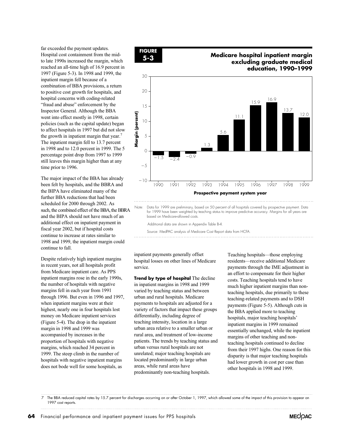far exceeded the payment updates. Hospital cost containment from the midto late 1990s increased the margin, which reached an all-time high of 16.9 percent in 1997 (Figure 5-3). In 1998 and 1999, the inpatient margin fell because of a combination of BBA provisions, a return to positive cost growth for hospitals, and hospital concerns with coding-related "fraud and abuse" enforcement by the Inspector General. Although the BBA went into effect mostly in 1998, certain policies (such as the capital update) began to affect hospitals in 1997 but did not slow the growth in inpatient margin that year.<sup>7</sup> The inpatient margin fell to 13.7 percent in 1998 and to 12.0 percent in 1999. The 5 percentage point drop from 1997 to 1999 still leaves this margin higher than at any time prior to 1996.

The major impact of the BBA has already been felt by hospitals, and the BBRA and the BIPA have eliminated many of the further BBA reductions that had been scheduled for 2000 through 2002. As additional effect on inpatient payment in fiscal year 2002, but if hospital costs continue to increase at rates similar to continue to fall. 1998 and 1999, the inpatient margin could and the BIPA should not have much of an such, the combined effect of the BBA, the BBRA

Despite relatively high inpatient margins in recent years, not all hospitals profit from Medicare inpatient care. As PPS inpatient margins rose in the early 1990s, the number of hospitals with negative margins fell in each year from 1991 through 1996. But even in 1996 and 1997, when inpatient margins were at their highest, nearly one in four hospitals lost money on Medicare inpatient services (Figure 5-4). The drop in the inpatient margin in 1998 and 1999 was accompanied by increases in the proportion of hospitals with negative margins, which reached 34 percent in 1999. The steep climb in the number of hospitals with negative inpatient margins does not bode well for some hospitals, as



# **5-3 Medicare hospital inpatient margin excluding graduate medical education, 1990–1999**



 for 1999 have been weighted by teaching status to improve predictive accuracy. Margins for all years are based on Medicare-allowed costs.

Additional data are shown in Appendix Table B-4.

Source: MedPAC analysis of Medicare Cost Report data from HCFA.

inpatient payments generally offset hospital losses on other lines of Medicare service.

**Trend by type of hospital** The decline in inpatient margins in 1998 and 1999 varied by teaching status and between urban and rural hospitals. Medicare payments to hospitals are adjusted for a variety of factors that impact these groups differentially, including degree of teaching intensity, location in a large urban area relative to a smaller urban or rural area, and treatment of low-income patients. The trends by teaching status and urban versus rural hospitals are not unrelated; major teaching hospitals are located predominantly in large urban areas, while rural areas have predominantly non-teaching hospitals.

Teaching hospitals—those employing residents—receive additional Medicare payments through the IME adjustment in an effort to compensate for their higher costs. Teaching hospitals tend to have much higher inpatient margins than nonteaching hospitals, due primarily to these teaching-related payments and to DSH payments (Figure 5-5). Although cuts in the BBA applied more to teaching hospitals, major teaching hospitals' inpatient margins in 1999 remained essentially unchanged, while the inpatient margins of other teaching and nonteaching hospitals continued to decline from their 1997 highs. One reason for this disparity is that major teaching hospitals had lower growth in cost per case than other hospitals in 1998 and 1999.

The BBA reduced capital rates by 15.7 percent for discharges occurring on or after October 1, 1997, which allowed some of the impact of this provision to appear on 1997 cost reports.

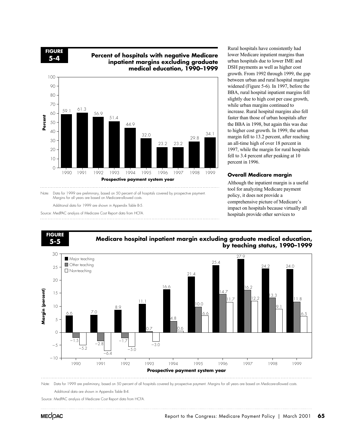**FIGURE**

# **5-4 Percent of hospitals with negative Medicare inpatient margins excluding graduate medical education, 1990–1999**



Note: Data for 1999 are preliminary, based on 50 percent of all hospitals covered by prospective payment. Margins for all years are based on Medicare-allowed costs.

Additional data for 1999 are shown in Appendix Table B-5.

Source: MedPAC analysis of Medicare Cost Report data from HCFA.

Rural hospitals have consistently had lower Medicare inpatient margins than urban hospitals due to lower IME and DSH payments as well as higher cost growth. From 1992 through 1999, the gap between urban and rural hospital margins widened (Figure 5-6)*.* In 1997, before the BBA, rural hospital inpatient margins fell slightly due to high cost per case growth, while urban margins continued to increase. Rural hospital margins also fell faster than those of urban hospitals after the BBA in 1998, but again this was due to higher cost growth. In 1999, the urban margin fell to 13.2 percent, after reaching an all-time high of over 18 percent in 1997, while the margin for rural hospitals fell to 3.4 percent after peaking at 10 percent in 1996.

#### **Overall Medicare margin**

Although the inpatient margin is a useful tool for analyzing Medicare payment policy, it does not provide a comprehensive picture of Medicare's impact on hospitals because virtually all hospitals provide other services to



Source: MedPAC analysis of Medicare Cost Report data from HCFA.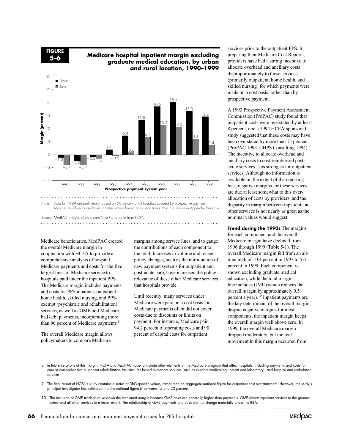**FIGURE 5-6**

# **Medicare hospital inpatient margin excluding graduate medical education, by urban and rural location, 1990–1999**



Note: Data for 1999 are preliminary, based on 50 percent of all hospitals covered by prospective payment. Margins for all years are based on Medicare-allowed costs. Additional data are shown in Appendix Table B-4.

Source: MedPAC analysis of Medicare Cost Report data from HCFA.

Medicare beneficiaries. MedPAC created the overall Medicare margin in conjunction with HCFA to provide a comprehensive analysis of hospital Medicare payments and costs for the five largest lines of Medicare service to hospitals paid under the inpatient PPS. The Medicare margin includes payments and costs for PPS inpatient, outpatient, home health, skilled nursing, and PPSexempt (psychiatric and rehabilitation) services, as well as GME and Medicare bad debt payments, incorporating more than 90 percent of Medicare payments.<sup>8</sup>

The overall Medicare margin allows policymakers to compare Medicare

margins among service lines, and to gauge the contributions of each component to the total. Increases in volume and recent policy changes, such as the introduction of new payment systems for outpatient and post-acute care, have increased the policy relevance of these other Medicare services that hospitals provide.

Until recently, many services under Medicare were paid on a cost basis, but Medicare payments often did not cover costs due to discounts or limits on payment. For instance, Medicare paid 94.2 percent of operating costs and 90 percent of capital costs for outpatient

services prior to the outpatient PPS. In preparing their Medicare Cost Reports, providers have had a strong incentive to allocate overhead and ancillary costs disproportionately to those services (primarily outpatient, home health, and skilled nursing) for which payments were made on a cost basis, rather than by prospective payment.

A 1993 Prospective Payment Assessment Commission (ProPAC) study found that outpatient costs were overstated by at least 8 percent, and a 1994 HCFA-sponsored study suggested that these costs may have been overstated by more than 15 percent (ProPAC 1993, CHPS Consulting 1994).<sup>9</sup> The incentive to allocate overhead and ancillary costs to cost-reimbursed postacute services is as strong as for outpatient services. Although no information is available on the extent of the reporting bias, negative margins for these services are due at least somewhat to this overallocation of costs by providers, and the disparity in margin between inpatient and other services is not nearly as great as the nominal values would suggest.

**Trend during the 1990s** The margins for each component and the overall Medicare margin have declined from 1996 through 1999 (Table 5-1). The overall Medicare margin fell from an alltime high of 10.4 percent in 1997 to 5.6 percent in 1999. Each component is shown excluding graduate medical line includes GME (which reduces the overall margin by approximately 0.5 percent a year).10 Inpatient payments are the key determinant of the overall margin; despite negative margins for most components, the inpatient margin keeps the overall margin well above zero. In 1999, the overall Medicare margin dropped moderately, but the real movement in this margin occurred from education, while the total margin

8 In future iterations of this margin, HCFA and MedPAC hope to include other elements of the Medicare program that affect hospitals, including payments and costs for care in comprehensive outpatient rehabilitation facilities, fee-based outpatient services (such as durable medical equipment and laboratory), and hospice and ambulance services.

9 The final report of HCFA's study contains a series of DRG-specific values, rather than an aggregate national figure for outpatient cost overstatement. However, the study's principal investigator has estimated that the national figure is between 15 and 20 percent.

10 The inclusion of GME tends to drive down the measured margin because GME costs are generally higher than payments. GME affects inpatient services to the greatest extent and all other services to a lesser extent. The relationship of GME payments and costs did not change materially under the BBA.

**66** Financial performance and inpatient payment issues for PPS hospitals

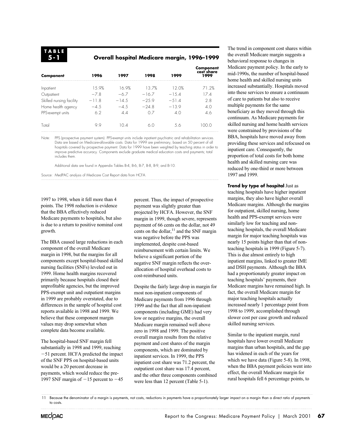## **Overall hospital Medicare margin, 1996–1999**

| Component                | 1996    | 1997    | 1998    | 1999    | Component<br>cost share<br>1999 |
|--------------------------|---------|---------|---------|---------|---------------------------------|
| Inpatient                | 15.9%   | 16.9%   | 137%    | 12.0%   | 71.2%                           |
| Outpatient               | $-78$   | $-6.7$  | $-16.7$ | $-15.4$ | 17.4                            |
| Skilled nursing facility | $-11.8$ | $-14.5$ | $-259$  | $-514$  | 28                              |
| Home health agency       | $-4.5$  | $-4.5$  | $-248$  | $-13.9$ | 4.0                             |
| PPS-exempt units         | 6.2     | 4.4     | 0.7     | 4.0     | 4.6                             |
| Total                    | 99      | 104     | 60      | 5.6     | 100.0                           |

Note: PPS (prospective payment system). PPS-exempt units include inpatient psychiatric and rehabilitation services. Data are based on Medicare-allowable costs. Data for 1999 are preliminary, based on 50 percent of all hospitals covered by prospective payment. Data for 1999 have been weighted by teaching status in order to improve predictive accuracy. Components exclude graduate medical education costs and payments; total includes them.

Additional data are found in Appendix Tables B-4, B-6, B-7, B-8, B-9, and B-10.

Source: MedPAC analysis of Medicare Cost Report data from HCFA.

1997 to 1998, when it fell more than 4 points. The 1998 reduction is evidence that the BBA effectively reduced Medicare payments to hospitals, but also is due to a return to positive nominal cost growth.

The BBA caused large reductions in each component of the overall Medicare margin in 1998, but the margins for all components except hospital-based skilled nursing facilities (SNFs) leveled out in 1999. Home health margins recovered primarily because hospitals closed their unprofitable agencies, but the improved PPS-exempt unit and outpatient margins in 1999 are probably overstated, due to differences in the sample of hospital cost reports available in 1998 and 1999. We believe that these component margin values may drop somewhat when complete data become available.

The hospital-based SNF margin fell substantially in 1998 and 1999, reaching 51 percent. HCFA predicted the impact of the SNF PPS on hospital-based units would be a 20 percent decrease in payments, which would reduce the pre-1997 SNF margin of  $-15$  percent to  $-45$  percent. Thus, the impact of prospective payment was slightly greater than projected by HCFA. However, the SNF margin in 1999, though severe, represents payment of 66 cents on the dollar, not 49 cents on the dollar, $11$  and the SNF margin was negative before the PPS was implemented, despite cost-based reimbursement with certain limits. We believe a significant portion of the negative SNF margin reflects the overallocation of hospital overhead costs to cost-reimbursed units.

Despite the fairly large drop in margin for most non-inpatient components of Medicare payments from 1996 through 1999 and the fact that all non-inpatient components (including GME) had very low or negative margins, the overall Medicare margin remained well above zero in 1998 and 1999. The positive overall margin results from the relative payment and cost shares of the margin components, which are dominated by inpatient services. In 1999, the PPS inpatient cost share was 71.2 percent, the outpatient cost share was 17.4 percent, and the other three components combined were less than 12 percent (Table 5-1).

The trend in component cost shares within the overall Medicare margin suggests a behavioral response to changes in Medicare payment policy. In the early to mid-1990s, the number of hospital-based home health and skilled nursing units increased substantially. Hospitals moved into these services to ensure a continuum of care to patients but also to receive multiple payments for the same beneficiary as they moved through this continuum. As Medicare payments for skilled nursing and home health services were constrained by provisions of the BBA, hospitals have moved away from providing these services and refocused on inpatient care. Consequently, the proportion of total costs for both home health and skilled nursing care was reduced by one-third or more between 1997 and 1999.

**Trend by type of hospital** Just as teaching hospitals have higher inpatient margins, they also have higher overall Medicare margins. Although the margins for outpatient, skilled nursing, home health and PPS-exempt services were similarly low for teaching and nonteaching hospitals, the overall Medicare margin for major teaching hospitals was nearly 15 points higher than that of nonteaching hospitals in 1999 (Figure 5-7). This is due almost entirely to high inpatient margins, linked to greater IME and DSH payments. Although the BBA had a proportionately greater impact on teaching hospitals' payments, their Medicare margins have remained high. In fact, the overall Medicare margin for major teaching hospitals actually increased nearly 1 percentage point from 1998 to 1999, accomplished through slower cost per case growth and reduced skilled nursing services.

Similar to the inpatient margin, rural hospitals have lower overall Medicare margins than urban hospitals, and the gap has widened in each of the years for which we have data (Figure 5-8). In 1998, effect, the overall Medicare margin for rural hospitals fell 6 percentage points, to when the BBA payment policies went into

11 Because the denominator of a margin is payments, not costs, reductions in payments have a proportionately larger impact on a margin than a direct ratio of payments to costs.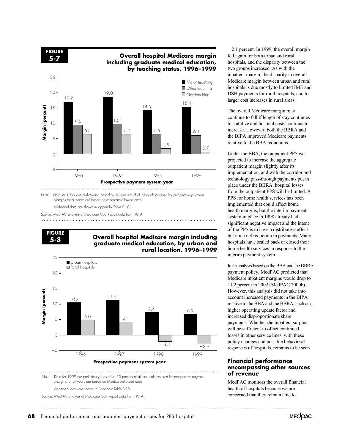**FIGURE**

# **5-7 Overall hospital Medicare margin including graduate medical education, by teaching status, 1996–1999**



Note: Data for 1999 are preliminary, based on 50 percent of all hospitals covered by prospective payment. Margins for all years are based on Medicare-allowed costs.

Additional data are shown in Appendix Table B-10.

Source: MedPAC analysis of Medicare Cost Report data from HCFA.

**FIGURE**

#### **5-8 Overall hospital Medicare margin including graduate medical education, by urban and rural location, 1996–1999**



Note: Data for 1999 are preliminary, based on 50 percent of all hospitals covered by prospective payment. Margins for all years are based on Medicare-allowed costs.

Additional data are shown in Appendix Table B-10.

Source: MedPAC analysis of Medicare Cost Report data from HCFA.

 $-2.1$  percent. In 1999, the overall margin fell again for both urban and rural hospitals, and the disparity between the two groups increased. As with the inpatient margin, the disparity in overall Medicare margin between urban and rural hospitals is due mostly to limited IME and DSH payments for rural hospitals, and to larger cost increases in rural areas.

The overall Medicare margin may continue to fall if length of stay continues to stabilize and hospital costs continue to increase. However, both the BBRA and the BIPA improved Medicare payments relative to the BBA reductions.

projected to increase the aggregate outpatient margin slightly after its implementation, and with the corridor and technology pass-through payments put in place under the BBRA, hospital losses from the outpatient PPS will be limited. A PPS for home health services has been implemented that could affect home health margins, but the interim payment system in place in 1998 already had a significant negative impact and the intent of the PPS is to have a distributive effect but not a net reduction in payments. Many hospitals have scaled back or closed their home health services in response to the interim payment system. Under the BBA, the outpatient PPS was

payment policy, MedPAC predicted that Medicare inpatient margins would drop to However, this analysis did not take into account increased payments in the BIPA higher operating update factor and increased disproportionate share payments. Whether the inpatient surplus will be sufficient to offset continued losses in other service lines, with these policy changes and possible behavioral responses of hospitals, remains to be seen. In an analysis based on the BBA and the BBRA 11.2 percent in 2002 (MedPAC 2000b). relative to the BBA and the BBRA, such as a

#### **Financial performance encompassing other sources of revenue**

MedPAC monitors the overall financial health of hospitals because we are concerned that they remain able to

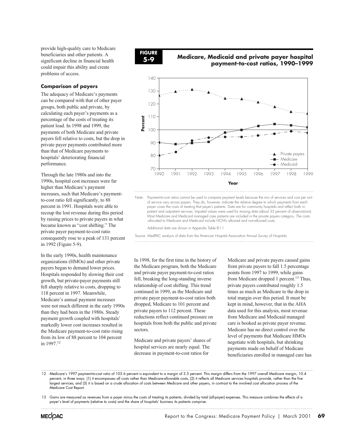provide high-quality care to Medicare beneficiaries and other patients. A significant decline in financial health could impair this ability and create problems of access.

## **Comparison of payers**

The adequacy of Medicare's payments can be compared with that of other payer groups, both public and private, by calculating each payer's payments as a percentage of the costs of treating its patient load. In 1998 and 1999, the payments of both Medicare and private payers fell relative to costs, but the drop in private payer payments contributed more than that of Medicare payments to hospitals' deteriorating financial performance.

Through the late 1980s and into the 1990s, hospital cost increases were far higher than Medicare's payment increases, such that Medicare's paymentto-cost ratio fell significantly, to 88 percent in 1991. Hospitals were able to recoup the lost revenue during this period by raising prices to private payers in what became known as "cost shifting." The private payer payment-to-cost ratio consequently rose to a peak of 131 percent in 1992 (Figure 5-9).

In the early 1990s, health maintenance organizations (HMOs) and other private payers began to demand lower prices. Hospitals responded by slowing their cost growth, but private-payer payments still fell sharply relative to costs, dropping to 118 percent in 1997. Meanwhile, Medicare's annual payment increases were not much different in the early 1990s than they had been in the 1980s. Steady payment growth coupled with hospitals' markedly lower cost increases resulted in the Medicare payment-to-cost ratio rising from its low of 88 percent to 104 percent in 1997.12



# **5-9 Medicare, Medicaid and private payer hospital payment-to-cost ratios, 1990–1999**



Note: Payment-to-cost ratios cannot be used to compare payment levels because the mix of services and cost per unit of service vary across payers. They do, however, indicate the relative degree to which payments from each payer cover the costs of treating that payer's patients. Data are for community hospitals and reflect both in patient and outpatient services. Imputed values were used for missing data (about 35 percent of observations). Most Medicare and Medicaid managed care patients are included in the private payers category. The costs allocated to Medicare and Medicaid include HCFA's allowed and non-allowed costs.

Additional data are shown in Appendix Table B-11.

Source: MedPAC analysis of data from the American Hospital Association Annual Survey of Hospitals. 

In 1998, for the first time in the history of the Medicare program, both the Medicare and private payer payment-to-cost ratios fell, breaking the long-standing inverse relationship of cost shifting. This trend continued in 1999, as the Medicare and private payer payment-to-cost ratios both dropped, Medicare to 101 percent and private payers to 112 percent. These reductions reflect continued pressure on hospitals from both the public and private sectors.

Medicare and private payers' shares of hospital services are nearly equal. The decrease in payment-to-cost ratios for

Medicare and private payers caused gains from private payers to fall 1.5 percentage points from 1997 to 1999, while gains from Medicare dropped 1 percent.<sup>13</sup> Thus, private payers contributed roughly 1.5 times as much as Medicare to the drop in total margin over this period. It must be kept in mind, however, that in the AHA data used for this analysis, most revenue from Medicare and Medicaid managed care is booked as private payer revenue. Medicare has no direct control over the level of payments that Medicare HMOs negotiate with hospitals, but shrinking payments made on behalf of Medicare beneficiaries enrolled in managed care has

13 Gains are measured as revenues from a payer minus the costs of treating its patients, divided by total (all-payer) expenses. This measure combines the effects of a payer's level of payments (relative to costs) and the share of hospitals' business its patients comprise.



<sup>12</sup> Medicare's 1997 payment-to-cost ratio of 103.6 percent is equivalent to a margin of 3.5 percent. This margin differs from the 1997 overall Medicare margin, 10.4 percent, in three ways: (1) it encompasses all costs rather than Medicare-allowable costs, (2) it reflects all Medicare services hospitals provide, rather than the five largest services, and (3) it is based on a crude allocation of costs between Medicare and other payers, in contrast to the involved cost allocation process of the Medicare Cost Report.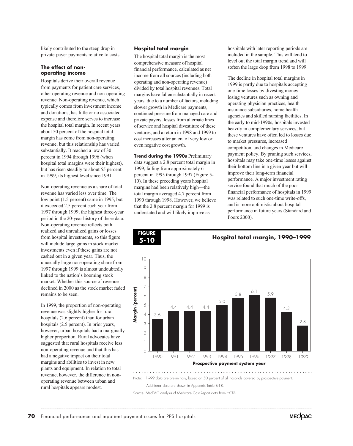likely contributed to the steep drop in private-payer payments relative to costs.

#### **The effect of nonoperating income**

Hospitals derive their overall revenue from payments for patient care services, other operating revenue and non-operating revenue. Non-operating revenue, which typically comes from investment income and donations, has little or no associated expense and therefore serves to increase the hospital total margin. In recent years about 50 percent of the hospital total margin has come from non-operating revenue, but this relationship has varied substantially. It reached a low of 30 percent in 1994 through 1996 (when hospital total margins were their highest), but has risen steadily to about 55 percent in 1999, its highest level since 1991.

Non-operating revenue as a share of total revenue has varied less over time. The low point (1.5 percent) came in 1995, but it exceeded 2.5 percent each year from 1997 through 1999, the highest three-year period in the 20-year history of these data. Non-operating revenue reflects both realized and unrealized gains or losses from hospital investments, so this figure will include large gains in stock market investments even if these gains are not cashed out in a given year. Thus, the unusually large non-operating share from 1997 through 1999 is almost undoubtedly linked to the nation's booming stock market. Whether this source of revenue declined in 2000 as the stock market faded remains to be seen.

In 1999, the proportion of non-operating revenue was slightly higher for rural hospitals (2.6 percent) than for urban hospitals (2.5 percent). In prior years, however, urban hospitals had a marginally higher proportion. Rural advocates have suggested that rural hospitals receive less non-operating revenue and that this has had a negative impact on their total margins and abilities to invest in new plants and equipment. In relation to total revenue, however, the difference in nonoperating revenue between urban and rural hospitals appears modest.

#### **Hospital total margin**

The hospital total margin is the most comprehensive measure of hospital financial performance, calculated as net income from all sources (including both operating and non-operating revenue) divided by total hospital revenues. Total margins have fallen substantially in recent years, due to a number of factors, including slower growth in Medicare payments, continued pressure from managed care and private payers, losses from alternate lines of service and hospital divestiture of these ventures, and a return in 1998 and 1999 to cost increases after an era of very low or even negative cost growth.

**Trend during the 1990s** Preliminary data suggest a 2.8 percent total margin in 1999, falling from approximately 6 percent in 1995 through 1997 (Figure 5- 10). In these preceding years hospital margins had been relatively high—the total margin averaged 4.7 percent from 1990 through 1998. However, we believe that the 2.8 percent margin for 1999 is understated and will likely improve as

**FIGURE**

hospitals with later reporting periods are included in the sample. This will tend to level out the total margin trend and will soften the large drop from 1998 to 1999.

The decline in hospital total margins in 1999 is partly due to hospitals accepting one-time losses by divesting moneylosing ventures such as owning and operating physician practices, health insurance subsidiaries, home health agencies and skilled nursing facilities. In the early to mid-1990s, hospitals invested heavily in complementary services, but these ventures have often led to losses due to market pressures, increased competition, and changes in Medicare payment policy. By pruning such services, hospitals may take one-time losses against their bottom line in a given year but will improve their long-term financial performance. A major investment rating service found that much of the poor financial performance of hospitals in 1999 was related to such one-time write-offs, and is more optimistic about hospital performance in future years (Standard and Poors 2000).

**5-10 Hospital total margin, 1990–1999**



Additional data are shown in Appendix Table B-18.

Source: MedPAC analysis of Medicare Cost Report data from HCFA.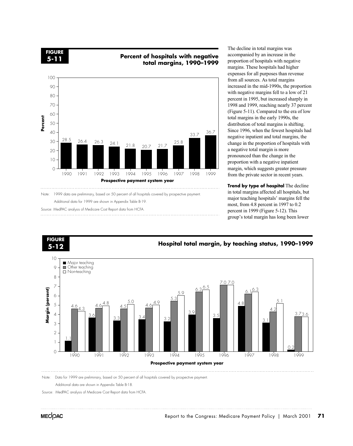**FIGURE**

# **5-11 Percent of hospitals with negative total margins, 1990–1999**



Note: 1999 data are preliminary, based on 50 percent of all hospitals covered by prospective payment. Additional data for 1999 are shown in Appendix Table B-19.

Source: MedPAC analysis of Medicare Cost Report data from HCFA. 

The decline in total margins was accompanied by an increase in the proportion of hospitals with negative margins. These hospitals had higher expenses for all purposes than revenue from all sources. As total margins increased in the mid-1990s, the proportion with negative margins fell to a low of 21 percent in 1995, but increased sharply in 1998 and 1999, reaching nearly 37 percent (Figure 5-11). Compared to the era of low total margins in the early 1990s, the distribution of total margins is shifting. Since 1996, when the fewest hospitals had negative inpatient and total margins, the change in the proportion of hospitals with a negative total margin is more pronounced than the change in the proportion with a negative inpatient margin, which suggests greater pressure from the private sector in recent years.

**Trend by type of hospital** The decline in total margins affected all hospitals, but major teaching hospitals' margins fell the most, from 4.8 percent in 1997 to 0.2 percent in 1999 (Figure 5-12). This group's total margin has long been lower



Additional data are shown in Appendix Table B-18.

Source: MedPAC analysis of Medicare Cost Report data from HCFA.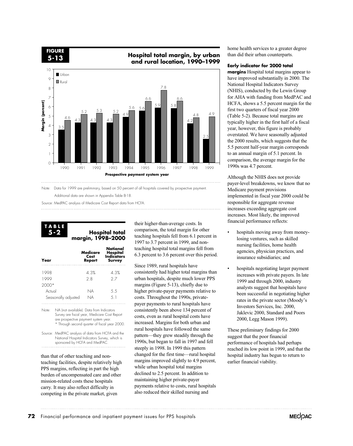**FIGURE**

**5-13 Hospital total margin, by urban and rural location, 1990–1999**



Note: Data for 1999 are preliminary, based on 50 percent of all hospitals covered by prospective payment. Additional data are shown in Appendix Table B-18.

Source: MedPAC analysis of Medicare Cost Report data from HCFA.

#### **Hospital total margin, 1998–2000 TABLE 5-2**

| Year                | Medicare<br>Cost<br>Report | National<br>Hospital<br><b>Indicators</b><br>Survey |
|---------------------|----------------------------|-----------------------------------------------------|
| 1998                | 4.3%                       | 4.3%                                                |
| 1999                | 2.8                        | 27                                                  |
| $2000*$             |                            |                                                     |
| Actual              | NA                         | 5.5                                                 |
| Seasonally adjusted | NА                         | 51                                                  |

Note: NA (not available). Data from Indicators Survey are fiscal year, Medicare Cost Report are prospective payment system year. \* Through second quarter of fiscal year 2000.

Source: MedPAC analysis of data from HCFA and the National Hospital Indicators Survey, which is sponsored by HCFA and MedPAC.

than that of other teaching and nonteaching facilities, despite relatively high PPS margins, reflecting in part the high burden of uncompensated care and other mission-related costs these hospitals carry. It may also reflect difficulty in competing in the private market, given

their higher-than-average costs. In comparison, the total margin for other teaching hospitals fell from 6.1 percent in 1997 to 3.7 percent in 1999, and nonteaching hospital total margins fell from 6.3 percent to 3.6 percent over this period.

Since 1989, rural hospitals have consistently had higher total margins than urban hospitals, despite much lower PPS margins (Figure 5-13), chiefly due to higher private-payer payments relative to costs. Throughout the 1990s, privatepayer payments to rural hospitals have consistently been above 134 percent of costs, even as rural hospital costs have increased. Margins for both urban and rural hospitals have followed the same pattern—they grew steadily through the 1990s, but began to fall in 1997 and fell steeply in 1998. In 1999 this pattern changed for the first time—rural hospital margins improved slightly to 4.9 percent, while urban hospital total margins declined to 2.5 percent. In addition to maintaining higher private-payer payments relative to costs, rural hospitals also reduced their skilled nursing and

home health services to a greater degree than did their urban counterparts.

#### **Early indicator for 2000 total**

**margins** Hospital total margins appear to have improved substantially in 2000. The National Hospital Indicators Survey (NHIS), conducted by the Lewin Group for AHA with funding from MedPAC and HCFA, shows a 5.5 percent margin for the first two quarters of fiscal year 2000 (Table 5-2). Because total margins are typically higher in the first half of a fiscal year, however, this figure is probably overstated. We have seasonally adjusted the 2000 results, which suggests that the 5.5 percent half-year margin corresponds to an annual margin of 5.1 percent. In comparison, the average margin for the 1990s was 4.7 percent.

Although the NHIS does not provide payer-level breakdowns, we know that no Medicare payment provisions implemented in fiscal year 2000 could be responsible for aggregate revenue increases exceeding aggregate cost increases. Most likely, the improved financial performance reflects:

- hospitals moving away from moneylosing ventures, such as skilled nursing facilities, home health agencies, physician practices, and insurance subsidiaries; and
- hospitals negotiating larger payment increases with private payers. In late 1999 and through 2000, industry analysts suggest that hospitals have been successful in negotiating higher rates in the private sector (Moody's Investors Services, Inc. 2000, Jaklevic 2000, Standard and Poors 2000, Legg Mason 1999).

These preliminary findings for 2000 suggest that the poor financial performance of hospitals had perhaps reached its low point in 1999, and that the hospital industry has begun to return to earlier financial viability.

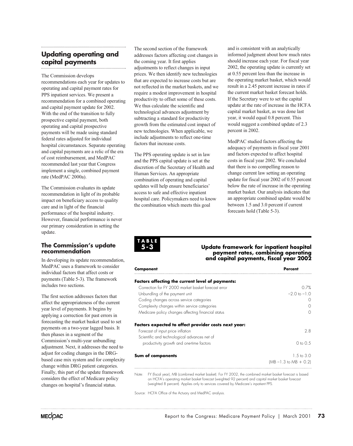# **Updating operating and capital payments**

The Commission develops recommendations each year for updates to operating and capital payment rates for PPS inpatient services. We present a recommendation for a combined operating and capital payment update for 2002. With the end of the transition to fully prospective capital payment, both operating and capital prospective payments will be made using standard federal rates adjusted for individual hospital circumstances. Separate operating and capital payments are a relic of the era of cost reimbursement, and MedPAC recommended last year that Congress implement a single, combined payment rate (MedPAC 2000a).

The Commission evaluates its update recommendation in light of its probable impact on beneficiary access to quality care and in light of the financial performance of the hospital industry. However, financial performance is never our primary consideration in setting the update.

#### **The Commission's update recommendation**

In developing its update recommendation, MedPAC uses a framework to consider individual factors that affect costs or payments (Table 5-3). The framework includes two sections.

The first section addresses factors that affect the appropriateness of the current year level of payments. It begins by applying a correction for past errors in forecasting the market basket used to set payments on a two-year lagged basis. It then phases in a segment of the Commission's multi-year unbundling adjustment. Next, it addresses the need to adjust for coding changes in the DRGbased case mix system and for complexity change within DRG patient categories. Finally, this part of the update framework considers the effect of Medicare policy changes on hospital's financial status.

The second section of the framework addresses factors affecting cost changes in the coming year. It first applies adjustments to reflect changes in input prices. We then identify new technologies that are expected to increase costs but are not reflected in the market baskets, and we require a modest improvement in hospital productivity to offset some of these costs. We thus calculate the scientific and technological advances adjustment by subtracting a standard for productivity growth from the estimated cost impact of new technologies. When applicable, we include adjustments to reflect one-time factors that increase costs.

The PPS operating update is set in law and the PPS capital update is set at the discretion of the Secretary of Health and Human Services. An appropriate combination of operating and capital updates will help ensure beneficiaries' access to safe and effective inpatient hospital care. Policymakers need to know the combination which meets this goal

and is consistent with an analytically informed judgment about how much rates should increase each year. For fiscal year 2002, the operating update is currently set at 0.55 percent less than the increase in the operating market basket, which would result in a 2.45 percent increase in rates if the current market basket forecast holds. If the Secretary were to set the capital update at the rate of increase in the HCFA capital market basket, as was done last year, it would equal 0.8 percent. This would suggest a combined update of 2.3 percent in 2002.

MedPAC studied factors affecting the adequacy of payments in fiscal year 2001 and factors expected to affect hospital costs in fiscal year 2002. We concluded that there is no compelling reason to change current law setting an operating update for fiscal year 2002 of 0.55 percent below the rate of increase in the operating market basket. Our analysis indicates that an appropriate combined update would be between 1.5 and 3.0 percent if current forecasts hold (Table 5-3).

**TABLE 5-3**

#### **Update framework for inpatient hospital payment rates, combining operating and capital payments, fiscal year 2002**

| Component                                               | Percent                    |
|---------------------------------------------------------|----------------------------|
| <b>Factors affecting the current level of payments:</b> |                            |
| Correction for FY 2000 market basket forecast error     | O 7%                       |
| Unbundling of the payment unit                          | $-20$ to $-10$             |
| Coding changes across service categories                |                            |
| Complexity changes within service categories            |                            |
| Medicare policy changes affecting financial status      |                            |
| Factors expected to affect provider costs next year:    |                            |
| Forecast of input price inflation                       | 28                         |
| Scientific and technological advances net of            |                            |
| productivity growth and one-time factors                | $0 \text{ to } 0.5$        |
| Sum of components                                       | $1.5 \text{ to } 3.0$      |
|                                                         | $(MB - 1.3)$ to $MB + 0.2$ |
|                                                         |                            |

Note: FY (fiscal year), MB (combined market basket). For FY 2002, the combined market basket forecast is based on HCFA's operating market basket forecast (weighted 92 percent) and capital market basket forecast (weighted 8 percent). Applies only to services covered by Medicare's inpatient PPS.

Source: HCFA Office of the Actuary and MedPAC analysis.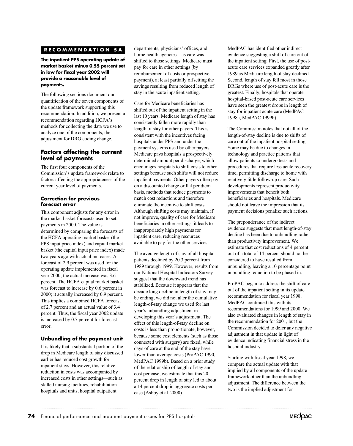# **RECOMMENDATION 5A**

**The inpatient PPS operating update of market basket minus 0.55 percent set in law for fiscal year 2002 will provide a reasonable level of payments.**

The following sections document our quantification of the seven components of the update framework supporting this recommendation. In addition, we present a recommendation regarding HCFA's methods for collecting the data we use to analyze one of the components, the adjustment for DRG coding change.

#### **Factors affecting the current level of payments**

The first four components of the Commission's update framework relate to factors affecting the appropriateness of the current year level of payments.

#### **Correction for previous forecast error**

This component adjusts for any error in the market basket forecasts used to set payments in 2000. The value is determined by comparing the forecasts of the HCFA operating market basket (the PPS input price index) and capital market basket (the capital input price index) made two years ago with actual increases. A forecast of 2.9 percent was used for the operating update implemented in fiscal year 2000; the actual increase was 3.6 percent. The HCFA capital market basket was forecast to increase by 0.6 percent in 2000; it actually increased by 0.9 percent. This implies a combined HCFA forecast of 2.7 percent and an actual value of 3.4 percent. Thus, the fiscal year 2002 update is increased by 0.7 percent for forecast error.

#### **Unbundling of the payment unit**

It is likely that a substantial portion of the drop in Medicare length of stay discussed earlier has reduced cost growth for inpatient stays. However, this relative reduction in costs was accompanied by increased costs in other settings—such as skilled nursing facilities, rehabilitation hospitals and units, hospital outpatient

departments, physicians' offices, and home health agencies—as care was shifted to those settings. Medicare must pay for care in other settings (by reimbursement of costs or prospective payment), at least partially offsetting the savings resulting from reduced length of stay in the acute inpatient setting.

Care for Medicare beneficiaries has shifted out of the inpatient setting in the last 10 years. Medicare length of stay has consistently fallen more rapidly than length of stay for other payers. This is consistent with the incentives facing hospitals under PPS and under the payment systems used by other payers. Medicare pays hospitals a prospectively determined amount per discharge, which encourages hospitals to shift costs to other settings because such shifts will not reduce inpatient payments. Other payers often pay on a discounted charge or flat per diem basis, methods that reduce payments to match cost reductions and therefore eliminate the incentive to shift costs. Although shifting costs may maintain, if not improve, quality of care for Medicare beneficiaries in other settings, it leads to inappropriately high payments for inpatient care, reducing resources available to pay for the other services.

The average length of stay of all hospital patients declined by 20.3 percent from 1989 through 1999. However, results from our National Hospital Indicators Survey suggest that the downward trend has stabilized. Because it appears that the be ending, we did not alter the cumulative year's unbundling adjustment in developing this year's adjustment. The effect of this length-of-stay decline on costs is less than proportionate, however, because some cost elements (such as those connected with surgery) are fixed, while days of care at the end of the stay have lower-than-average costs (ProPAC 1990, MedPAC 1999b)*.* Based on a prior study of the relationship of length of stay and cost per case, we estimate that this 20 percent drop in length of stay led to about a 14 percent drop in aggregate costs per case (Ashby et al. 2000). decade long decline in length of stay may length-of-stay change we used for last

MedPAC has identified other indirect evidence suggesting a shift of care out of the inpatient setting. First, the use of postacute care services expanded greatly after 1989 as Medicare length of stay declined. Second, length of stay fell most in those DRGs where use of post-acute care is the greatest. Finally, hospitals that operate hospital-based post-acute care services have seen the greatest drops in length of stay for inpatient acute care (MedPAC 1998a, MedPAC 1999b).

The Commission notes that not all of the length-of-stay decline is due to shifts of care out of the inpatient hospital setting. Some may be due to changes in technology and practice patterns that allow patients to undergo tests and procedures that require less acute recovery time, permitting discharge to home with relatively little follow-up care. Such developments represent productivity improvements that benefit both beneficiaries and hospitals. Medicare should not leave the impression that its payment decisions penalize such actions.

The preponderance of the indirect decline has been due to unbundling rather than productivity improvement. We estimate that cost reductions of 4 percent out of a total of 14 percent should not be considered to have resulted from unbundling, leaving a 10 percentage point unbundling reduction to be phased in. evidence suggests that most length-of-stay

ProPAC began to address the shift of care out of the inpatient setting in its update recommendation for fiscal year 1998. MedPAC continued this with its recommendations for 1999 and 2000. We also evaluated changes in length of stay in the recommendation for 2001, but the Commission decided to defer any negative adjustment in that update in light of evidence indicating financial stress in the hospital industry.

Starting with fiscal year 1998, we compare the actual update with that implied by all components of the update framework other than the unbundling adjustment. The difference between the two is the implied adjustment for

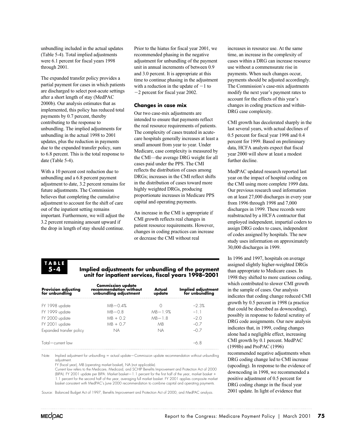unbundling included in the actual updates (Table 5-4). Total implied adjustments were 6.1 percent for fiscal years 1998 through 2001.

The expanded transfer policy provides a partial payment for cases in which patients are discharged to select post-acute settings after a short length of stay (MedPAC 2000b). Our analysis estimates that as implemented, this policy has reduced total payments by 0.7 percent, thereby contributing to the response to unbundling. The implied adjustments for unbundling in the actual 1998 to 2001 updates, plus the reduction in payments due to the expanded transfer policy, sum to 6.8 percent. This is the total response to date (Table 5-4).

With a 10 percent cost reduction due to unbundling and a 6.8 percent payment adjustment to date, 3.2 percent remains for future adjustments. The Commission believes that completing the cumulative adjustment to account for the shift of care out of the inpatient setting remains important. Furthermore, we will adjust the 3.2 percent remaining amount upward if the drop in length of stay should continue.

Prior to the hiatus for fiscal year 2001, we recommended phasing in the negative adjustment for unbundling of the payment unit in annual increments of between 0.9 and 3.0 percent. It is appropriate at this time to continue phasing in the adjustment with a reduction in the update of  $-1$  to 2 percent for fiscal year 2002.

#### **Changes in case mix**

Our two case-mix adjustments are intended to ensure that payments reflect the real resource requirements of patients. The complexity of cases treated in acutecare hospitals generally increases at least a small amount from year to year. Under Medicare, case complexity is measured by the CMI—the average DRG weight for all cases paid under the PPS. The CMI reflects the distribution of cases among DRGs; increases in the CMI reflect shifts in the distribution of cases toward more highly weighted DRGs, producing proportionate increases in Medicare PPS capital and operating payments.

An increase in the CMI is appropriate if CMI growth reflects real changes in patient resource requirements. However, changes in coding practices can increase or decrease the CMI without real

# **TABLE 5-4**

#### **Implied adjustments for unbundling of the payment unit for inpatient services, fiscal years 1998–2001**

| <b>Commission update</b><br>recommendation without<br>unbundling adjustment | Actual<br>update | Implied adjustment<br>for unbundling |
|-----------------------------------------------------------------------------|------------------|--------------------------------------|
| $MB - 0.4%$                                                                 |                  | $-2.3%$                              |
| $MB - 0.8$                                                                  | $MB - 1.9%$      | $-11$                                |
| $MB + 0.2$                                                                  | $MB-18$          | $-2$ $\Omega$                        |
| $MB + 0.7$                                                                  | MB.              | $-07$                                |
| NA                                                                          | <b>NA</b>        | $-07$                                |
|                                                                             |                  | $-6.8$                               |
|                                                                             |                  |                                      |

Note: Implied adjustment for unbundling = actual update–Commission update recommendation without unbundling adjustment.

FY (fiscal year), MB (operating market basket), NA (not applicable).

Current law refers to the Medicare, Medicaid, and SCHIP Benefits Improvement and Protection Act of 2000 (BIPA). FY 2001 update per BIPA: Market basket—1.1 percent for the first half of the year, market basket - 1.1 percent for the second half of the year, averaging full market basket. FY 2001 applies composite market basket consistent with MedPAC's June 2000 recommendation to combine capital and operating payments.

Source: Balanced Budget Act of 1997, Benefits Improvement and Protection Act of 2000, and MedPAC analysis.

increases in resource use. At the same time, an increase in the complexity of cases within a DRG can increase resource use without a commensurate rise in payments. When such changes occur, payments should be adjusted accordingly. The Commission's case-mix adjustments modify the next year's payment rates to account for the effects of this year's changes in coding practices and within-DRG case complexity.

CMI growth has decelerated sharply in the last several years, with actual declines of 0.5 percent for fiscal year 1998 and 0.4 percent for 1999. Based on preliminary data, HCFA analysts expect that fiscal year 2000 will show at least a modest further decline.

MedPAC updated research reported last year on the impact of hospital coding on the CMI using more complete 1999 data. Our previous research used information on at least 27,000 discharges in every year from 1996 through 1998 and 7,000 discharges in 1999. These records were reabstracted by a HCFA contractor that employed independent, impartial coders to assign DRG codes to cases, independent of codes assigned by hospitals. The new study uses information on approximately 30,000 discharges in 1999.

In 1996 and 1997, hospitals on average assigned slightly higher-weighted DRGs than appropriate to Medicare cases. In 1998 they shifted to more cautious coding, which contributed to slower CMI growth in the sample of cases. Our analysis indicates that coding change reduced CMI growth by 0.5 percent in 1998 (a practice that could be described as downcoding), possibly in response to federal scrutiny of DRG code assignments. Our new analysis indicates that, in 1999, coding changes alone had a negligible effect, increasing CMI growth by 0.1 percent. MedPAC (1998b) and ProPAC (1996) recommended negative adjustments when DRG coding change led to CMI increase (upcoding). In response to the evidence of downcoding in 1998, we recommended a positive adjustment of 0.5 percent for DRG coding change in the fiscal year 2001 update. In light of evidence that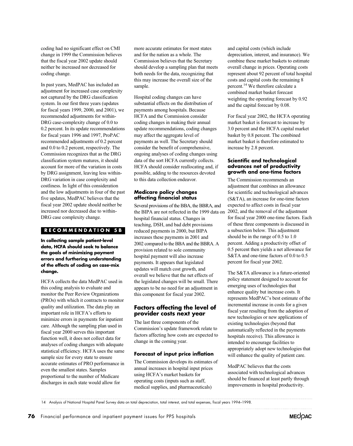coding had no significant effect on CMI change in 1999 the Commission believes that the fiscal year 2002 update should neither be increased nor decreased for coding change.

In past years, MedPAC has included an adjustment for increased case complexity not captured by the DRG classification system. In our first three years (updates for fiscal years 1999, 2000, and 2001), we recommended adjustments for within-DRG case-complexity change of 0.0 to 0.2 percent. In its update recommendations for fiscal years 1996 and 1997, ProPAC recommended adjustments of 0.2 percent and 0.0 to 0.2 percent, respectively. The Commission recognizes that as the DRG classification system matures, it should account for more of the variation in costs by DRG assignment, leaving less within-DRG variation in case complexity and costliness. In light of this consideration and the low adjustments in four of the past five updates, MedPAC believes that the fiscal year 2002 update should neither be increased nor decreased due to within-DRG case complexity change.

# **RECOMMENDATION 5B**

**In collecting sample patient-level data, HCFA should seek to balance the goals of minimizing payment errors and furthering understanding of the effects of coding on case-mix change.**

HCFA collects the data MedPAC used in this coding analysis to evaluate and monitor the Peer Review Organizations (PROs) with which it contracts to monitor quality and utilization. The data play an important role in HCFA's efforts to minimize errors in payments for inpatient care. Although the sampling plan used in fiscal year 2000 serves this important function well, it does not collect data for analyses of coding changes with adequate statistical efficiency. HCFA uses the same sample size for every state to ensure accurate estimates of PRO performance in even the smallest states. Samples proportional to the number of Medicare discharges in each state would allow for

more accurate estimates for most states and for the nation as a whole. The Commission believes that the Secretary should develop a sampling plan that meets both needs for the data, recognizing that this may increase the overall size of the sample.

Hospital coding changes can have substantial effects on the distribution of payments among hospitals. Because HCFA and the Commission consider coding changes in making their annual update recommendations, coding changes may affect the aggregate level of payments as well. The Secretary should consider the benefit of comprehensive, ongoing analyses of coding changes using data of the sort HCFA currently collects. HCFA should consider reallocating and, if possible, adding to the resources devoted to this data collection endeavor.

#### **Medicare policy changes affecting financial status**

hospital financial status. Changes in teaching, DSH, and bad debt provisions reduced payments in 2000, but BIPA increases these payments in 2001 and provision related to sole community hospital payment will also increase payments. It appears that legislated updates will match cost growth, and overall we believe that the net effects of the legislated changes will be small. There appears to be no need for an adjustment in this component for fiscal year 2002. 2002 compared to the BBA and the BBRA. A Several provisions of the BBA, the BBRA, and the BIPA are not reflected in the 1999 data on

#### **Factors affecting the level of provider costs next year**

The last three components of the Commission's update framework relate to factors affecting how costs are expected to change in the coming year.

#### **Forecast of input price inflation**

The Commission develops its estimates of annual increases in hospital input prices using HCFA's market baskets for operating costs (inputs such as staff, medical supplies, and pharmaceuticals)

and capital costs (which include depreciation, interest, and insurance). We combine these market baskets to estimate overall change in prices. Operating costs represent about 92 percent of total hospital costs and capital costs the remaining 8 percent.14 We therefore calculate a combined market basket forecast weighting the operating forecast by 0.92 and the capital forecast by 0.08.

For fiscal year 2002, the HCFA operating market basket is forecast to increase by 3.0 percent and the HCFA capital market basket by 0.8 percent. The combined market basket is therefore estimated to increase by 2.8 percent.

#### **Scientific and technological advances net of productivity growth and one-time factors**

The Commission recommends an adjustment that combines an allowance for scientific and technological advances (S&TA), an increase for one-time factors expected to affect costs in fiscal year 2002, and the removal of the adjustment for fiscal year 2000 one-time factors. Each of these three components is discussed in a subsection below. This adjustment should be in the range of 0.5 to 1.0 percent. Adding a productivity offset of 0.5 percent then yields a net allowance for S&TA and one-time factors of 0.0 to 0.5 percent for fiscal year 2002.

The S&TA allowance is a future-oriented policy statement designed to account for emerging uses of technologies that enhance quality but increase costs. It represents MedPAC's best estimate of the incremental increase in costs for a given fiscal year resulting from the adoption of new technologies or new applications of existing technologies (beyond that automatically reflected in the payments hospitals receive). This allowance is intended to encourage facilities to appropriately adopt new technologies that will enhance the quality of patient care.

MedPAC believes that the costs associated with technological advances should be financed at least partly through improvements in hospital productivity.

14 Analysis of National Hospital Panel Survey data on total depreciation, total interest, and total expenses, fiscal years 1994–1998.

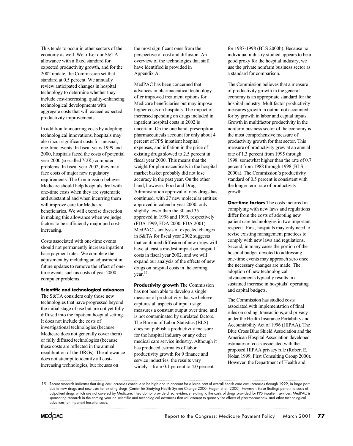This tends to occur in other sectors of the economy as well. We offset our S&TA allowance with a fixed standard for expected productivity growth, and for the 2002 update, the Commission set that standard at 0.5 percent. We annually review anticipated changes in hospital technology to determine whether they include cost-increasing, quality-enhancing technological developments with aggregate costs that will exceed expected productivity improvements.

In addition to incurring costs by adopting technological innovations, hospitals may also incur significant costs for unusual, one-time events. In fiscal years 1999 and 2000, hospitals faced the costs of potential year 2000 (so-called Y2K) computer problems. In fiscal year 2002, they may face costs of major new regulatory requirements. The Commission believes Medicare should help hospitals deal with one-time costs when they are systematic and substantial and when incurring them will improve care for Medicare beneficiaries. We will exercise discretion in making this allowance when we judge factors to be sufficiently major and costincreasing.

Costs associated with one-time events should not permanently increase inpatient base payment rates. We complete the adjustment by including an adjustment in future updates to remove the effect of onetime events such as costs of year 2000 computer problems.

#### **Scientific and technological advances**

The S&TA considers only those new technologies that have progressed beyond the initial stage of use but are not yet fully diffused into the inpatient hospital setting. It does not include the costs of investigational technologies (because Medicare does not generally cover them) or fully diffused technologies (because these costs are reflected in the annual recalibration of the DRGs). The allowance does not attempt to identify all costincreasing technologies, but focuses on

the most significant ones from the perspective of cost and diffusion. An overview of the technologies that staff have identified is provided in Appendix A.

MedPAC has been concerned that advances in pharmaceutical technology offer improved treatment options for Medicare beneficiaries but may impose higher costs on hospitals. The impact of increased spending on drugs included in inpatient hospital costs in 2002 is uncertain. On the one hand, prescription pharmaceuticals account for only about 4 percent of PPS inpatient hospital expenses, and inflation in the price of existing drugs slowed to 2.5 percent in fiscal year 2000. This means that the weight for pharmaceuticals in the hospital market basket probably did not lose accuracy in the past year. On the other hand, however, Food and Drug Administration approval of new drugs has continued, with 27 new molecular entities approved in calendar year 2000, only slightly fewer than the 30 and 35 approved in 1998 and 1999, respectively (FDA 1999, FDA 2000, FDA 2001). MedPAC's analysis of expected changes in S&TA for fiscal year 2002 suggests that continued diffusion of new drugs will have at least a modest impact on hospital costs in fiscal year 2002, and we will expand our analysis of the effects of new drugs on hospital costs in the coming year.15

**Productivity growth** The Commission has not been able to develop a single measure of productivity that we believe captures all aspects of input usage, measures a constant output over time, and is not contaminated by unrelated factors. The Bureau of Labor Statistics (BLS) does not publish a productivity measure for the hospital industry or any other medical care service industry. Although it has produced estimates of labor productivity growth for 9 finance and service industries, the results vary widely—from 0.1 percent to 4.0 percent

for 1987-1998 (BLS 2000b). Because no individual industry studied appears to be a good proxy for the hospital industry, we use the private nonfarm business sector as a standard for comparison.

The Commission believes that a measure of productivity growth in the general economy is an appropriate standard for the hospital industry. Multifactor productivity measures growth in output not accounted for by growth in labor and capital inputs. Growth in multifactor productivity in the nonfarm business sector of the economy is the most comprehensive measure of productivity growth for that sector. This measure of productivity grew at an annual rate of 1.3 percent from 1995 through 1998, somewhat higher than the rate of 0.7 percent from 1988 through 1998 (BLS 2000a). The Commission's productivity standard of 0.5 percent is consistent with the longer term rate of productivity growth.

**One-time factors** The costs incurred in complying with new laws and regulations differ from the costs of adopting new patient care technologies in two important respects. First, hospitals may only need to revise existing management practices to comply with new laws and regulations. Second, in many cases the portion of the hospital budget devoted to addressing one-time events may approach zero once the necessary changes are made. The adoption of new technological advancements typically results in a sustained increase in hospitals' operating and capital budgets.

The Commission has studied costs associated with implementation of final rules on coding, transactions, and privacy under the Health Insurance Portability and Accountability Act of 1996 (HIPAA). The Blue Cross Blue Shield Association and the American Hospital Association developed estimates of costs associated with the proposed HIPAA privacy rule (Robert E. Nolan 1999, First Consulting Group 2000). However, the Department of Health and

<sup>15</sup> Recent research indicates that drug cost increases continue to be high and to account for a large part of overall health care cost increases through 1999, in large part due to new drugs and new uses for existing drugs (Center for Studying Health System Change 2000; Hogan et al. 2000). However, these findings pertain to costs of outpatient drugs which are not covered by Medicare. They do not provide direct evidence relating to the costs of drugs provided for PPS inpatient services. MedPAC is sponsoring research in the coming year on scientific and technological advances that will attempt to quantify the effects of pharmaceuticals, and other technological advances, on inpatient hospital costs.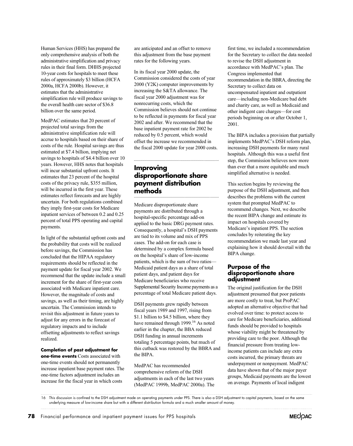only comprehensive analysis of both the administrative simplification and privacy rules in their final form. DHHS projected 10-year costs for hospitals to meet these rules of approximately \$3 billion (HCFA 2000a, HCFA 2000b). However, it estimates that the administrative simplification rule will produce savings to the overall health care sector of \$36.8 billion over the same period. Human Services (HHS) has prepared the

MedPAC estimates that 20 percent of projected total savings from the administrative simplification rule will accrue to hospitals based on their share of costs of the rule. Hospital savings are thus estimated at \$7.4 billion, implying net savings to hospitals of \$4.4 billion over 10 years. However, HHS notes that hospitals will incur substantial upfront costs. It estimates that 23 percent of the hospital costs of the privacy rule, \$355 million, will be incurred in the first year. These estimates reflect forecasts and are highly uncertain. For both regulations combined they imply first-year costs for Medicare inpatient services of between 0.2 and 0.25 percent of total PPS operating and capital payments.

In light of the substantial upfront costs and the probability that costs will be realized before savings, the Commission has requirements should be reflected in the payment update for fiscal year 2002. We recommend that the update include a small increment for the share of first-year costs associated with Medicare inpatient care. However, the magnitude of costs and savings, as well as their timing, are highly uncertain. The Commission intends to revisit this adjustment in future years to adjust for any errors in the forecast of regulatory impacts and to include offsetting adjustments to reflect savings realized. concluded that the HIPAA regulatory

**Completion of past adjustment for one-time events** Costs associated with one-time events should not permanently increase inpatient base payment rates. The one-time factors adjustment includes an increase for the fiscal year in which costs

are anticipated and an offset to remove this adjustment from the base payment rates for the following years.

In its fiscal year 2000 update, the Commission considered the costs of year 2000 (Y2K) computer improvements by increasing the S&TA allowance. The fiscal year 2000 adjustment was for nonrecurring costs, which the Commission believes should not continue to be reflected in payments for fiscal year 2002 and after. We recommend that the base inpatient payment rate for 2002 be reduced by 0.5 percent, which would offset the increase we recommended in the fiscal 2000 update for year 2000 costs.

# **Improving disproportionate share payment distribution methods**

payments are distributed through a hospital-specific percentage add-on applied to the basic DRG payment rates. Consequently, a hospital's DSH payments are tied to its volume and mix of PPS cases. The add-on for each case is determined by a complex formula based on the hospital's share of low-income patients, which is the sum of two ratios— Medicaid patient days as a share of total patient days, and patient days for Medicare beneficiaries who receive percentage of total Medicare patient days. Medicare disproportionate share Supplemental Security Income payments as a

DSH payments grew rapidly between fiscal years 1989 and 1997, rising from \$1.1 billion to \$4.5 billion, where they have remained through 1999.<sup>16</sup> As noted earlier in the chapter, the BBA reduced DSH funding in annual increments totaling 5 percentage points, but much of this cutback was restored by the BBRA and the BIPA.

MedPAC has recommended adjustments in each of the last two years (MedPAC 1999b, MedPAC 2000a). The comprehensive reform of the DSH

first time, we included a recommendation for the Secretary to collect the data needed to revise the DSH adjustment in accordance with MedPAC's plan. The Congress implemented that Secretary to collect data on uncompensated inpatient and outpatient care—including non-Medicare bad debt and charity care, as well as Medicaid and other indigent care charges—for cost periods beginning on or after October 1, 2001. recommendation in the BBRA, directing the

implements MedPAC's DSH reform plan, increasing DSH payments for many rural hospitals. Although this was a useful first step, the Commission believes now more than ever that a more equitable and much simplified alternative is needed. The BIPA includes a provision that partially

This section begins by reviewing the purpose of the DSH adjustment, and then describes the problems with the current system that prompted MedPAC to recommend changes. Next, we describe the recent BIPA change and estimate its impact on hospitals covered by Medicare's inpatient PPS. The section concludes by reiterating the key recommendation we made last year and explaining how it should dovetail with the BIPA change.

#### **Purpose of the disproportionate share adjustment**

The original justification for the DSH adjustment presumed that poor patients are more costly to treat, but ProPAC adopted an alternative objective that had evolved over time: to protect access to care for Medicare beneficiaries, additional funds should be provided to hospitals whose viability might be threatened by providing care to the poor. Although the financial pressure from treating lowincome patients can include any extra costs incurred, the primary threats are underpayment or nonpayment. MedPAC data have shown that of the major payer groups, Medicaid payments are the lowest on average. Payments of local indigent



<sup>16</sup> This discussion is confined to the DSH adjustment made on operating payments under PPS. There is also a DSH adjustment to capital payments, based on the same underlying measure of low-income share but with a different distribution formula and a much smaller amount of money.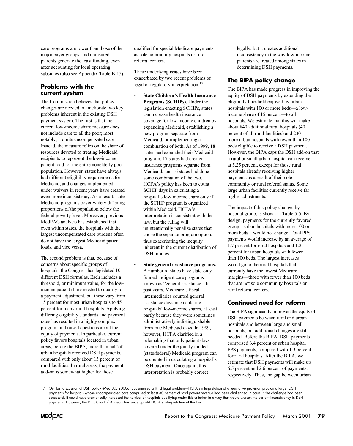care programs are lower than those of the major payer groups, and uninsured patients generate the least funding, even after accounting for local operating subsidies (also see Appendix Table B-15).

#### **Problems with the current system**

The Commission believes that policy changes are needed to ameliorate two key problems inherent in the existing DSH payment system. The first is that the current low-income share measure does not include care to all the poor; most notably, it omits uncompensated care. Instead, the measure relies on the share of resources devoted to treating Medicaid recipients to represent the low-income patient load for the entire nonelderly poor population. However, states have always had different eligibility requirements for Medicaid, and changes implemented under waivers in recent years have created even more inconsistency. As a result, state Medicaid programs cover widely differing proportions of the population below the federal poverty level. Moreover, previous MedPAC analysis has established that even within states, the hospitals with the largest uncompensated care burdens often do not have the largest Medicaid patient loads, and vice versa.

The second problem is that, because of concerns about specific groups of hospitals, the Congress has legislated 10 different DSH formulas. Each includes a threshold, or minimum value, for the lowincome patient share needed to qualify for a payment adjustment, but these vary from 15 percent for most urban hospitals to 45 percent for many rural hospitals. Applying differing eligibility standards and payment rates has resulted in a highly complex program and raised questions about the equity of payments. In particular, current policy favors hospitals located in urban urban hospitals received DSH payments, compared with only about 15 percent of rural facilities. In rural areas, the payment add-on is somewhat higher for those areas; before the BIPA, more than half of

qualified for special Medicare payments as sole community hospitals or rural referral centers.

These underlying issues have been exacerbated by two recent problems of legal or regulatory interpretation:<sup>17</sup>

- **State Children's Health Insurance Programs (SCHIPs).** Under the legislation enacting SCHIPs, states can increase health insurance coverage for low-income children by expanding Medicaid, establishing a new program separate from Medicaid, or implementing a combination of both. As of 1999, 18 states had expanded their Medicaid program, 17 states had created insurance programs separate from Medicaid, and 16 states had done some combination of the two. HCFA's policy has been to count SCHIP days in calculating a hospital's low-income share only if the SCHIP program is organized within Medicaid. HCFA's interpretation is consistent with the law, but the ruling will unintentionally penalize states that chose the separate program option, thus exacerbating the inequity inherent in the current distribution of DSH monies.
- **State general assistance programs.** A number of states have state-only funded indigent care programs known as "general assistance." In past years, Medicare's fiscal intermediaries counted general assistance days in calculating hospitals' low-income shares, at least partly because they were sometimes administratively indistinguishable from true Medicaid days. In 1999, however, HCFA clarified in a rulemaking that only patient days covered under the jointly funded (state/federal) Medicaid program can be counted in calculating a hospital's DSH payment. Once again, this interpretation is probably correct

legally, but it creates additional inconsistency in the way low-income patients are treated among states in determining DSH payments.

# **The BIPA policy change**

equity of DSH payments by extending the eligibility threshold enjoyed by urban hospitals with 100 or more beds—a lowincome share of 15 percent—to all hospitals. We estimate that this will make about 840 additional rural hospitals (40 percent of all rural facilities) and 230 more urban hospitals with fewer than 100 beds eligible to receive a DSH payment. a rural or small urban hospital can receive at 5.25 percent, except for those rural hospitals already receiving higher payments as a result of their sole community or rural referral status. Some large urban facilities currently receive far higher adjustments. The BIPA has made progress in improving the However, the BIPA caps the DSH add-on that

The impact of this policy change, by design, payments for the currently favored group—urban hospitals with more 100 or more beds—would not change. Total PPS payments would increase by an average of 1.7 percent for rural hospitals and 1.2 percent for urban hospitals with fewer than 100 beds. The largest increases would go to the rural hospitals that currently have the lowest Medicare margins—those with fewer than 100 beds that are not sole community hospitals or rural referral centers. hospital group, is shown in Table 5-5. By

# **Continued need for reform**

DSH payments between rural and urban hospitals and between large and small hospitals, but additional changes are still comprised 6.4 percent of urban hospital PPS payments, compared with 1.3 percent estimate that DSH payments will make up 6.5 percent and 2.6 percent of payments, respectively. Thus, the gap between urban needed. Before the BIPA, DSH payments for rural hospitals. After the BIPA, we The BIPA significantly improved the equity of

17 Our last discussion of DSH policy (MedPAC 2000a) documented a third legal problem—HCFA's interpretation of a legislative provision providing larger DSH payments for hospitals whose uncompensated care comprised at least 30 percent of total patient revenue had been challenged in court. If the challenge had been successful, it could have dramatically increased the number of hospitals qualifying under this criterion in a way that would worsen the current inconsistency in DSH payments. However, the D.C. Court of Appeals has since upheld HCFA's interpretation of the law.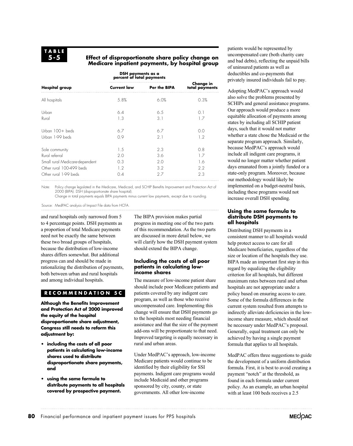#### **Effect of disproportionate share policy change on Medicare inpatient payments, by hospital group**

|                                | DSH payments as a<br>percent of total payments |                     |                             |
|--------------------------------|------------------------------------------------|---------------------|-----------------------------|
| <b>Hospital group</b>          | <b>Current law</b>                             | <b>Per the BIPA</b> | Change in<br>total payments |
| All hospitals                  | 5.8%                                           | 6.0%                | 0.3%                        |
| Urban                          | 6.4                                            | 6.5                 | 0.1                         |
| Rural                          | 1.3                                            | 3.1                 | 1.7                         |
| Urban 100+ beds                | 6.7                                            | 6.7                 | 0.0                         |
| Urban 1-99 beds                | 0.9                                            | 2.1                 | 1.2                         |
| Sole community                 | 1.5                                            | 2.3                 | 0.8                         |
| Rural referral                 | 2.0                                            | 3.6                 | 1.7                         |
| Small rural Medicare-dependent | 0.3                                            | 2.0                 | 1.6                         |
| Other rural 100-499 beds       | 1.2                                            | 3.2                 | $2.2^{\circ}$               |
| Other rural 1-99 beds          | 0.4                                            | 2.7                 | 2.3                         |

Note: Policy change legislated in the Medicare, Medicaid, and SCHIP Benefits Improvement and Protection Act of 2000 (BIPA). DSH (disproportionate share hospital).

Change in total payments equals BIPA payments minus current law payments, except due to rounding.

Source: MedPAC analysis of Impact File data from HCFA.

and rural hospitals only narrowed from 5 to 4 percentage points. DSH payments as a proportion of total Medicare payments need not be exactly the same between these two broad groups of hospitals, because the distribution of low-income shares differs somewhat. But additional progress can and should be made in rationalizing the distribution of payments, both between urban and rural hospitals and among individual hospitals.

# **RECOMMENDATION 5C**

**Although the Benefits Improvement and Protection Act of 2000 improved the equity of the hospital disproportionate share adjustment, Congress still needs to reform this adjustment by:**

- **• including the costs of all poor patients in calculating low-income shares used to distribute disproportionate share payments, and**
- **• using the same formula to distribute payments to all hospitals covered by prospective payment.**

The BIPA provision makes partial progress in meeting one of the two parts of this recommendation. As the two parts are discussed in more detail below, we will clarify how the DSH payment system should extend the BIPA change.

#### **Including the costs of all poor patients in calculating lowincome shares**

The measure of low-income patient share should include poor Medicare patients and patients covered by any indigent care program, as well as those who receive uncompensated care. Implementing this change will ensure that DSH payments go to the hospitals most needing financial assistance and that the size of the payment add-ons will be proportionate to that need. Improved targeting is equally necessary in rural and urban areas.

Under MedPAC's approach, low-income Medicare patients would continue to be identified by their eligibility for SSI payments. Indigent care programs would include Medicaid and other programs sponsored by city, county, or state governments. All other low-income

patients would be represented by uncompensated care (both charity care and bad debts), reflecting the unpaid bills of uninsured patients as well as deductibles and co-payments that privately insured individuals fail to pay.

Adopting MedPAC's approach would also solve the problems presented by SCHIPs and general assistance programs. Our approach would produce a more equitable allocation of payments among states by including all SCHIP patient days, such that it would not matter whether a state chose the Medicaid or the separate program approach. Similarly, because MedPAC's approach would include all indigent care programs, it would no longer matter whether patient days emanated from a jointly funded or a state-only program. Moreover, because our methodology would likely be implemented on a budget-neutral basis, including these programs would not increase overall DSH spending.

#### **Using the same formula to distribute DSH payments to all hospitals**

Distributing DSH payments in a consistent manner to all hospitals would help protect access to care for all Medicare beneficiaries, regardless of the size or location of the hospitals they use. BIPA made an important first step in this regard by equalizing the eligibility criterion for all hospitals, but different maximum rates between rural and urban hospitals are not appropriate under a policy based on ensuring access to care. Some of the formula differences in the current system resulted from attempts to indirectly alleviate deficiencies in the lowincome share measure, which should not be necessary under MedPAC's proposal. Generally, equal treatment can only be achieved by having a single payment formula that applies to all hospitals.

MedPAC offers three suggestions to guide the development of a uniform distribution formula. First, it is best to avoid creating a payment "notch" at the threshold, as found in each formula under current policy. As an example, an urban hospital with at least 100 beds receives a 2.5

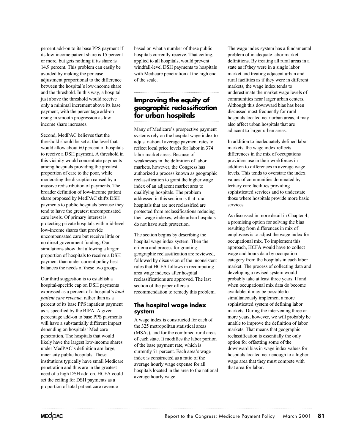percent add-on to its base PPS payment if its low-income patient share is 15 percent or more, but gets nothing if its share is 14.9 percent. This problem can easily be avoided by making the per case adjustment proportional to the difference between the hospital's low-income share and the threshold. In this way, a hospital just above the threshold would receive only a minimal increment above its base payment, with the percentage add-on rising in smooth progression as lowincome share increases.

Second, MedPAC believes that the threshold should be set at the level that would allow about 60 percent of hospitals to receive a DSH payment. A threshold in this vicinity would concentrate payments among hospitals providing the greatest proportion of care to the poor, while moderating the disruption caused by a massive redistribution of payments. The broader definition of low-income patient share proposed by MedPAC shifts DSH payments to public hospitals because they tend to have the greatest uncompensated care levels. Of primary interest is protecting private hospitals with mid-level low-income shares that provide uncompensated care but receive little or no direct government funding. Our simulations show that allowing a larger proportion of hospitals to receive a DSH payment than under current policy best balances the needs of these two groups.

Our third suggestion is to establish a hospital-specific cap on DSH payments expressed as a percent of a hospital's *total patient care revenue*, rather than as a percent of its base PPS inpatient payment as is specified by the BIPA. A given percentage add-on to base PPS payments will have a substantially different impact depending on hospitals' Medicare penetration. The hospitals that would likely have the largest low-income shares under MedPAC's definition are large, inner-city public hospitals. These institutions typically have small Medicare penetration and thus are in the greatest need of a high DSH add-on. HCFA could set the ceiling for DSH payments as a proportion of total patient care revenue

based on what a number of these public hospitals currently receive. That ceiling, applied to all hospitals, would prevent windfall-level DSH payments to hospitals with Medicare penetration at the high end of the scale.

# **Improving the equity of geographic reclassification for urban hospitals**

Many of Medicare's prospective payment systems rely on the hospital wage index to adjust national average payment rates to reflect local price levels for labor in 374 labor market areas. Because of weaknesses in the definition of labor markets, however, the Congress has authorized a process known as geographic reclassification to grant the higher wage index of an adjacent market area to qualifying hospitals. The problem addressed in this section is that rural hospitals that are not reclassified are protected from reclassifications reducing their wage indexes, while urban hospitals do not have such protection.

The section begins by describing the hospital wage index system. Then the criteria and process for granting geographic reclassification are reviewed, followed by discussion of the inconsistent rules that HCFA follows in recomputing area wage indexes after hospital reclassifications are approved. The last section of the paper offers a recommendation to remedy this problem.

# **The hospital wage index system**

A wage index is constructed for each of the 325 metropolitan statistical areas (MSAs), and for the combined rural areas of each state. It modifies the labor portion of the base payment rate, which is currently 71 percent. Each area's wage index is constructed as a ratio of the average hourly wage expense for all hospitals located in the area to the national average hourly wage.

The wage index system has a fundamental problem of inadequate labor market definitions. By treating all rural areas in a state as if they were in a single labor market and treating adjacent urban and rural facilities as if they were in different markets, the wage index tends to underestimate the market wage levels of communities near larger urban centers. Although this downward bias has been discussed most frequently for rural hospitals located near urban areas, it may also affect urban hospitals that are adjacent to larger urban areas.

In addition to inadequately defined labor markets, the wage index reflects differences in the mix of occupations providers use in their workforces in addition to differences in average wage levels. This tends to overstate the index values of communities dominated by tertiary care facilities providing sophisticated services and to understate those where hospitals provide more basic services.

As discussed in more detail in Chapter 4, a promising option for solving the bias resulting from differences in mix of employees is to adjust the wage index for occupational mix. To implement this approach, HCFA would have to collect wage and hours data by occupation category from the hospitals in each labor market. The process of collecting data and developing a revised system would probably take at least three years. If and when occupational mix data do become available, it may be possible to simultaneously implement a more sophisticated system of defining labor markets. During the intervening three or more years, however, we will probably be unable to improve the definition of labor markets. That means that geographic reclassification is essentially the only option for offsetting some of the downward bias in wage index values for hospitals located near enough to a higherwage area that they must compete with that area for labor.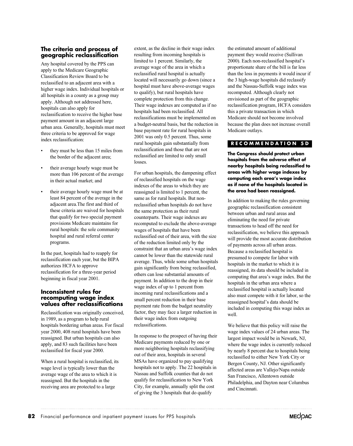# **The criteria and process of geographic reclassification**

Any hospital covered by the PPS can apply to the Medicare Geographic Classification Review Board to be reclassified to an adjacent area with a higher wage index. Individual hospitals or all hospitals in a county as a group may apply. Although not addressed here, hospitals can also apply for reclassification to receive the higher base payment amount in an adjacent large urban area. Generally, hospitals must meet three criteria to be approved for wage index reclassification:

- they must be less than 15 miles from the border of the adjacent area;
- their average hourly wage must be more than 106 percent of the average in their actual market; and
- their average hourly wage must be at least 84 percent of the average in the adjacent area.The first and third of these criteria are waived for hospitals that qualify for two special payment provisions Medicare maintains for rural hospitals: the sole community hospital and rural referral center programs.

In the past, hospitals had to reapply for authorizes HCFA to approve reclassification for a three-year period beginning in fiscal year 2001. reclassification each year, but the BIPA

#### **Inconsistent rules for recomputing wage index values after reclassifications**

Reclassification was originally conceived, in 1989, as a program to help rural hospitals bordering urban areas. For fiscal year 2000, 408 rural hospitals have been reassigned. But urban hospitals can also apply, and 83 such facilities have been reclassified for fiscal year 2000.

When a rural hospital is reclassified, its wage level is typically lower than the average wage of the area to which it is reassigned. But the hospitals in the receiving area are protected to a large

extent, as the decline in their wage index resulting from incoming hospitals is limited to 1 percent. Similarly, the average wage of the area in which a reclassified rural hospital is actually located will necessarily go down (since a hospital must have above-average wages to qualify), but rural hospitals have complete protection from this change. Their wage indexes are computed as if no hospitals had been reclassified. All reclassifications must be implemented on a budget-neutral basis, but the reduction in base payment rate for rural hospitals in 2001 was only 0.5 percent. Thus, some rural hospitals gain substantially from reclassification and those that are not reclassified are limited to only small losses.

For urban hospitals, the dampening effect of reclassified hospitals on the wage indexes of the areas to which they are reassigned is limited to 1 percent, the same as for rural hospitals. But nonreclassified urban hospitals do not have the same protection as their rural counterparts. Their wage indexes are recomputed to exclude the above-average wages of hospitals that have been reclassified out of their area, with the size of the reduction limited only by the constraint that an urban area's wage index cannot be lower than the statewide rural average. Thus, while some urban hospitals gain significantly from being reclassified, others can lose substantial amounts of payment. In addition to the drop in their wage index of up to 1 percent from incoming rural reclassifications and a small percent reduction in their base payment rate from the budget neutrality factor, they may face a larger reduction in their wage index from outgoing reclassifications.

In response to the prospect of having their Medicare payments reduced by one or more neighboring hospitals reclassifying out of their area, hospitals in several MSAs have organized to pay qualifying hospitals not to apply. The 22 hospitals in Nassau and Suffolk counties that do not qualify for reclassification to New York City, for example, annually split the cost of giving the 3 hospitals that do qualify

the estimated amount of additional payment they would receive (Sullivan 2000). Each non-reclassified hospital's proportionate share of the bill is far less than the loss in payments it would incur if the 3 high-wage hospitals did reclassify and the Nassau-Suffolk wage index was recomputed. Although clearly not envisioned as part of the geographic reclassification program, HCFA considers this a private transaction in which Medicare should not become involved because the plan does not increase overall Medicare outlays.

# **RECOMMENDATION 5D**

**The Congress should protect urban hospitals from the adverse effect of nearby hospitals being reclassified to areas with higher wage indexes by computing each area's wage index as if none of the hospitals located in the area had been reassigned.**

In addition to making the rules governing geographic reclassification consistent between urban and rural areas and eliminating the need for private transactions to head off the need for reclassification, we believe this approach will provide the most accurate distribution of payments across all urban areas. Because a reclassified hospital is presumed to compete for labor with hospitals in the market to which it is reassigned, its data should be included in computing that area's wage index. But the hospitals in the urban area where a reclassified hospital is actually located also must compete with it for labor, so the reassigned hospital's data should be included in computing this wage index as well.

We believe that this policy will raise the wage index values of 24 urban areas. The largest impact would be in Newark, NJ, where the wage index is currently reduced by nearly 8 percent due to hospitals being reclassified to either New York City or Bergen County, NJ. Other significantly affected areas are Vallejo/Napa outside San Francisco, Allentown outside Philadelphia, and Dayton near Columbus and Cincinnati.

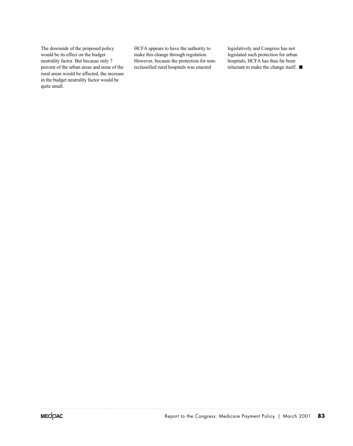The downside of the proposed policy would be its effect on the budget neutrality factor. But because only 7 percent of the urban areas and none of the rural areas would be affected, the increase in the budget neutrality factor would be quite small.

HCFA appears to have the authority to make this change through regulation. However, because the protection for nonreclassified rural hospitals was enacted

legislatively and Congress has not legislated such protection for urban hospitals, HCFA has thus far been reluctant to make the change itself.  $\blacksquare$ 

. . . . . .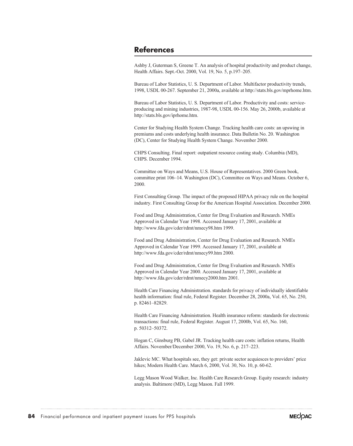# **References**

Ashby J, Guterman S, Greene T. An analysis of hospital productivity and product change, Health Affairs. Sept.-Oct. 2000, Vol. 19, No. 5, p.197–205.

Bureau of Labor Statistics, U. S. Department of Labor. Multifactor productivity trends, 1998, USDL 00-267. September 21, 2000a, available at http://stats.bls.gov/mprhome.htm.

Bureau of Labor Statistics, U. S. Department of Labor. Productivity and costs: serviceproducing and mining industries, 1987-98, USDL 00-156. May 26, 2000b, available at http://stats.bls.gov/iprhome.htm.

Center for Studying Health System Change. Tracking health care costs: an upswing in premiums and costs underlying health insurance. Data Bulletin No. 20. Washington (DC), Center for Studying Health System Change. November 2000.

CHPS Consulting. Final report: outpatient resource costing study. Columbia (MD), CHPS. December 1994.

Committee on Ways and Means, U.S. House of Representatives. 2000 Green book, committee print 106–14. Washington (DC), Committee on Ways and Means. October 6, 2000.

First Consulting Group. The impact of the proposed HIPAA privacy rule on the hospital industry. First Consulting Group for the American Hospital Association. December 2000.

Food and Drug Administration, Center for Drug Evaluation and Research. NMEs Approved in Calendar Year 1998. Accessed January 17, 2001, available at http://www.fda.gov/cder/rdmt/nmecy98.htm 1999.

Food and Drug Administration, Center for Drug Evaluation and Research. NMEs Approved in Calendar Year 1999. Accessed January 17, 2001, available at http://www.fda.gov/cder/rdmt/nmecy99.htm 2000.

Food and Drug Administration, Center for Drug Evaluation and Research. NMEs Approved in Calendar Year 2000. Accessed January 17, 2001, available at http://www.fda.gov/cder/rdmt/nmecy2000.htm 2001.

Health Care Financing Administration. standards for privacy of individually identifiable health information: final rule, Federal Register. December 28, 2000a, Vol. 65, No. 250, p. 82461–82829.

Health Care Financing Administration. Health insurance reform: standards for electronic transactions: final rule, Federal Register. August 17, 2000b, Vol. 65, No. 160, p. 50312–50372.

Hogan C, Ginsburg PB, Gabel JR. Tracking health care costs: inflation returns, Health Affairs. November/December 2000, Vo. 19, No. 6, p. 217–223.

Jaklevic MC. What hospitals see, they get: private sector acquiesces to providers' price hikes; Modern Health Care. March 6, 2000, Vol. 30, No. 10, p. 60-62.

Legg Mason Wood Walker, Inc. Health Care Research Group. Equity research: industry analysis. Baltimore (MD), Legg Mason. Fall 1999.